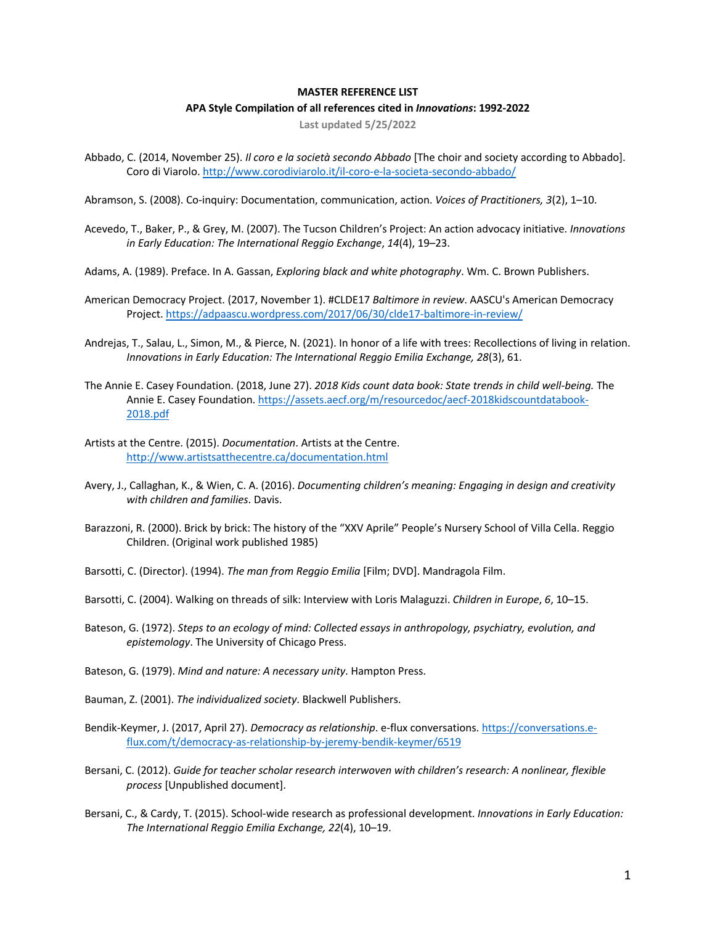## **MASTER REFERENCE LIST**

## **APA Style Compilation of all references cited in** *Innovations***: 1992-2022**

**Last updated 5/25/2022**

Abbado, C. (2014, November 25). *Il coro e la società secondo Abbado* [The choir and society according to Abbado]. Coro di Viarolo. http://www.corodiviarolo.it/il-coro-e-la-societa-secondo-abbado/

Abramson, S. (2008). Co-inquiry: Documentation, communication, action. *Voices of Practitioners, 3*(2), 1–10.

- Acevedo, T., Baker, P., & Grey, M. (2007). The Tucson Children's Project: An action advocacy initiative. *Innovations in Early Education: The International Reggio Exchange*, *14*(4), 19–23.
- Adams, A. (1989). Preface. In A. Gassan, *Exploring black and white photography*. Wm. C. Brown Publishers.
- American Democracy Project. (2017, November 1). #CLDE17 *Baltimore in review*. AASCU's American Democracy Project. https://adpaascu.wordpress.com/2017/06/30/clde17-baltimore-in-review/
- Andrejas, T., Salau, L., Simon, M., & Pierce, N. (2021). In honor of a life with trees: Recollections of living in relation. *Innovations in Early Education: The International Reggio Emilia Exchange, 28*(3), 61.
- The Annie E. Casey Foundation. (2018, June 27). *2018 Kids count data book: State trends in child well-being.* The Annie E. Casey Foundation. https://assets.aecf.org/m/resourcedoc/aecf-2018kidscountdatabook-2018.pdf
- Artists at the Centre. (2015). *Documentation*. Artists at the Centre. http://www.artistsatthecentre.ca/documentation.html
- Avery, J., Callaghan, K., & Wien, C. A. (2016). *Documenting children's meaning: Engaging in design and creativity with children and families*. Davis.
- Barazzoni, R. (2000). Brick by brick: The history of the "XXV Aprile" People's Nursery School of Villa Cella. Reggio Children. (Original work published 1985)
- Barsotti, C. (Director). (1994). *The man from Reggio Emilia* [Film; DVD]. Mandragola Film.
- Barsotti, C. (2004). Walking on threads of silk: Interview with Loris Malaguzzi. *Children in Europe*, *6*, 10–15.
- Bateson, G. (1972). *Steps to an ecology of mind: Collected essays in anthropology, psychiatry, evolution, and epistemology*. The University of Chicago Press.
- Bateson, G. (1979). *Mind and nature: A necessary unity*. Hampton Press.
- Bauman, Z. (2001). *The individualized society*. Blackwell Publishers.
- Bendik-Keymer, J. (2017, April 27). *Democracy as relationship*. e-flux conversations. https://conversations.eflux.com/t/democracy-as-relationship-by-jeremy-bendik-keymer/6519
- Bersani, C. (2012). *Guide for teacher scholar research interwoven with children's research: A nonlinear, flexible process* [Unpublished document].
- Bersani, C., & Cardy, T. (2015). School-wide research as professional development. *Innovations in Early Education: The International Reggio Emilia Exchange, 22*(4), 10–19.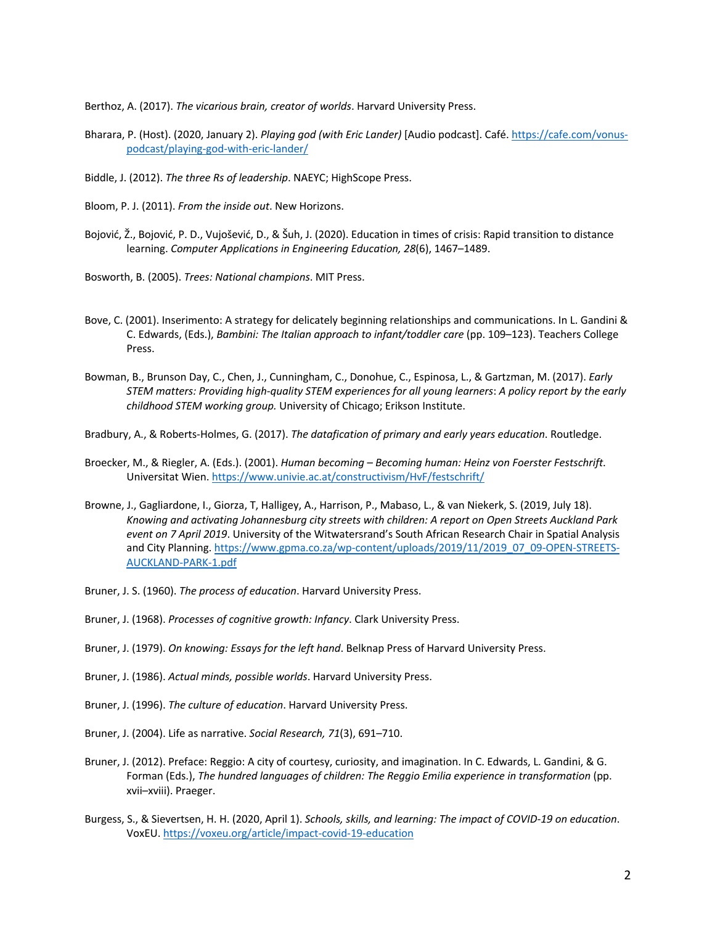Berthoz, A. (2017). *The vicarious brain, creator of worlds*. Harvard University Press.

- Bharara, P. (Host). (2020, January 2). *Playing god (with Eric Lander)* [Audio podcast]. Café. https://cafe.com/vonuspodcast/playing-god-with-eric-lander/
- Biddle, J. (2012). *The three Rs of leadership*. NAEYC; HighScope Press.
- Bloom, P. J. (2011). *From the inside out*. New Horizons.
- Bojović, Ž., Bojović, P. D., Vujošević, D., & Šuh, J. (2020). Education in times of crisis: Rapid transition to distance learning. *Computer Applications in Engineering Education, 28*(6), 1467–1489.
- Bosworth, B. (2005). *Trees: National champions*. MIT Press.
- Bove, C. (2001). Inserimento: A strategy for delicately beginning relationships and communications. In L. Gandini & C. Edwards, (Eds.), *Bambini: The Italian approach to infant/toddler care* (pp. 109–123). Teachers College Press.
- Bowman, B., Brunson Day, C., Chen, J., Cunningham, C., Donohue, C., Espinosa, L., & Gartzman, M. (2017). *Early STEM matters: Providing high-quality STEM experiences for all young learners*: *A policy report by the early childhood STEM working group.* University of Chicago; Erikson Institute.
- Bradbury, A., & Roberts-Holmes, G. (2017). *The datafication of primary and early years education*. Routledge.
- Broecker, M., & Riegler, A. (Eds.). (2001). *Human becoming – Becoming human: Heinz von Foerster Festschrift*. Universitat Wien. https://www.univie.ac.at/constructivism/HvF/festschrift/
- Browne, J., Gagliardone, I., Giorza, T, Halligey, A., Harrison, P., Mabaso, L., & van Niekerk, S. (2019, July 18). *Knowing and activating Johannesburg city streets with children: A report on Open Streets Auckland Park event on 7 April 2019*. University of the Witwatersrand's South African Research Chair in Spatial Analysis and City Planning. https://www.gpma.co.za/wp-content/uploads/2019/11/2019\_07\_09-OPEN-STREETS-AUCKLAND-PARK-1.pdf
- Bruner, J. S. (1960). *The process of education*. Harvard University Press.
- Bruner, J. (1968). *Processes of cognitive growth: Infancy*. Clark University Press.
- Bruner, J. (1979). *On knowing: Essays for the left hand*. Belknap Press of Harvard University Press.
- Bruner, J. (1986). *Actual minds, possible worlds*. Harvard University Press.
- Bruner, J. (1996). *The culture of education*. Harvard University Press.
- Bruner, J. (2004). Life as narrative. *Social Research, 71*(3), 691–710.
- Bruner, J. (2012). Preface: Reggio: A city of courtesy, curiosity, and imagination. In C. Edwards, L. Gandini, & G. Forman (Eds.), *The hundred languages of children: The Reggio Emilia experience in transformation* (pp. xvii–xviii). Praeger.
- Burgess, S., & Sievertsen, H. H. (2020, April 1). *Schools, skills, and learning: The impact of COVID-19 on education*. VoxEU. https://voxeu.org/article/impact-covid-19-education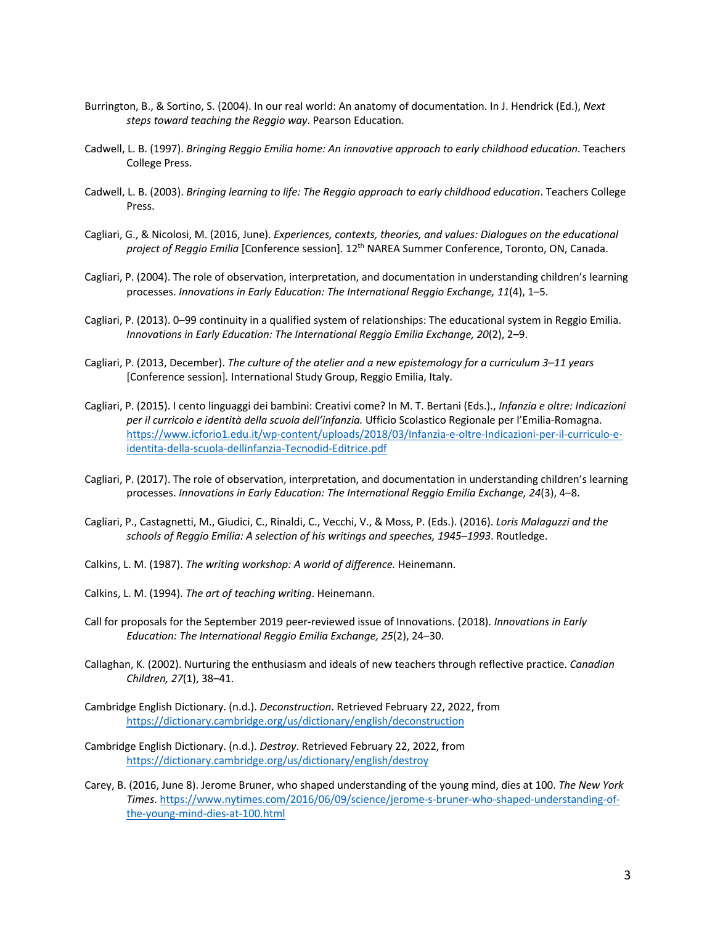- Burrington, B., & Sortino, S. (2004). In our real world: An anatomy of documentation. In J. Hendrick (Ed.), *Next steps toward teaching the Reggio way*. Pearson Education.
- Cadwell, L. B. (1997). *Bringing Reggio Emilia home: An innovative approach to early childhood education*. Teachers College Press.
- Cadwell, L. B. (2003). *Bringing learning to life: The Reggio approach to early childhood education*. Teachers College Press.
- Cagliari, G., & Nicolosi, M. (2016, June). *Experiences, contexts, theories, and values: Dialogues on the educational project of Reggio Emilia* [Conference session]*.* 12th NAREA Summer Conference, Toronto, ON, Canada.
- Cagliari, P. (2004). The role of observation, interpretation, and documentation in understanding children's learning processes. *Innovations in Early Education: The International Reggio Exchange, 11*(4), 1–5.
- Cagliari, P. (2013). 0–99 continuity in a qualified system of relationships: The educational system in Reggio Emilia. *Innovations in Early Education: The International Reggio Emilia Exchange, 20*(2), 2–9.
- Cagliari, P. (2013, December). *The culture of the atelier and a new epistemology for a curriculum 3–11 years* [Conference session]*.* International Study Group, Reggio Emilia, Italy.
- Cagliari, P. (2015). I cento linguaggi dei bambini: Creativi come? In M. T. Bertani (Eds.)., *Infanzia e oltre: Indicazioni per il curricolo e identità della scuola dell'infanzia.* Ufficio Scolastico Regionale per l'Emilia-Romagna. https://www.icforio1.edu.it/wp-content/uploads/2018/03/Infanzia-e-oltre-Indicazioni-per-il-curriculo-eidentita-della-scuola-dellinfanzia-Tecnodid-Editrice.pdf
- Cagliari, P. (2017). The role of observation, interpretation, and documentation in understanding children's learning processes. *Innovations in Early Education: The International Reggio Emilia Exchange, 24*(3), 4–8.
- Cagliari, P., Castagnetti, M., Giudici, C., Rinaldi, C., Vecchi, V., & Moss, P. (Eds.). (2016). *Loris Malaguzzi and the schools of Reggio Emilia: A selection of his writings and speeches, 1945–1993*. Routledge.
- Calkins, L. M. (1987). *The writing workshop: A world of difference.* Heinemann.
- Calkins, L. M. (1994). *The art of teaching writing*. Heinemann.
- Call for proposals for the September 2019 peer-reviewed issue of Innovations. (2018). *Innovations in Early Education: The International Reggio Emilia Exchange, 25*(2), 24–30.
- Callaghan, K. (2002). Nurturing the enthusiasm and ideals of new teachers through reflective practice. *Canadian Children, 27*(1), 38–41.
- Cambridge English Dictionary. (n.d.). *Deconstruction*. Retrieved February 22, 2022, from https://dictionary.cambridge.org/us/dictionary/english/deconstruction
- Cambridge English Dictionary. (n.d.). *Destroy*. Retrieved February 22, 2022, from https://dictionary.cambridge.org/us/dictionary/english/destroy
- Carey, B. (2016, June 8). Jerome Bruner, who shaped understanding of the young mind, dies at 100. *The New York Times*. https://www.nytimes.com/2016/06/09/science/jerome-s-bruner-who-shaped-understanding-ofthe-young-mind-dies-at-100.html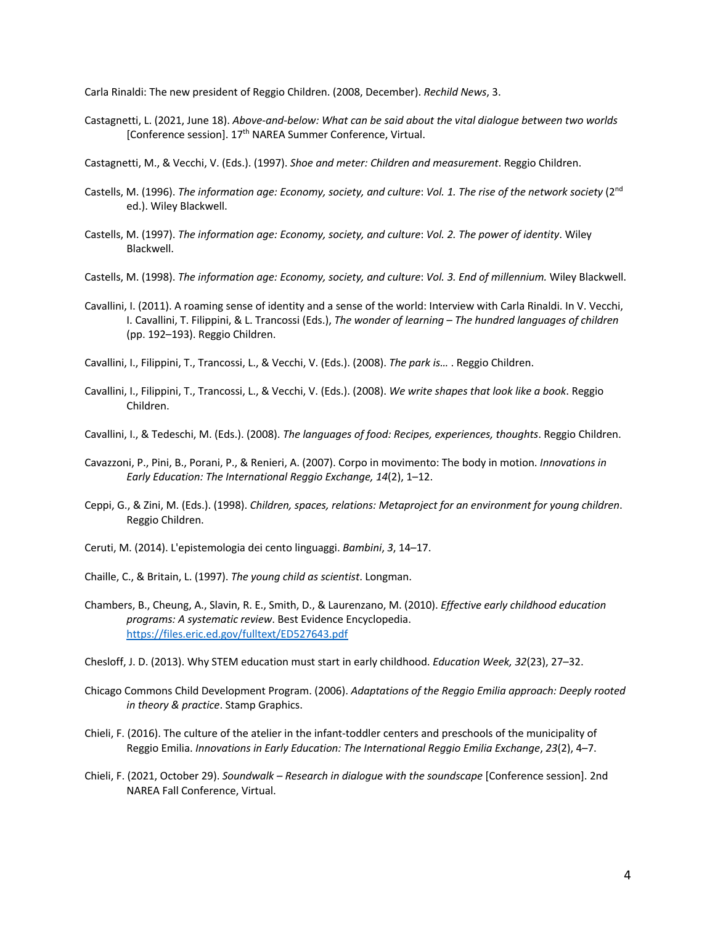Carla Rinaldi: The new president of Reggio Children. (2008, December). *Rechild News*, 3.

Castagnetti, L. (2021, June 18). *Above-and-below: What can be said about the vital dialogue between two worlds* [Conference session]. 17th NAREA Summer Conference, Virtual.

Castagnetti, M., & Vecchi, V. (Eds.). (1997). *Shoe and meter: Children and measurement*. Reggio Children.

- Castells, M. (1996). *The information age: Economy, society, and culture*: *Vol. 1. The rise of the network society* (2nd ed.). Wiley Blackwell.
- Castells, M. (1997). *The information age: Economy, society, and culture*: *Vol. 2. The power of identity*. Wiley Blackwell.
- Castells, M. (1998). *The information age: Economy, society, and culture*: *Vol. 3. End of millennium.* Wiley Blackwell.
- Cavallini, I. (2011). A roaming sense of identity and a sense of the world: Interview with Carla Rinaldi. In V. Vecchi, I. Cavallini, T. Filippini, & L. Trancossi (Eds.), *The wonder of learning – The hundred languages of children*  (pp. 192–193). Reggio Children.
- Cavallini, I., Filippini, T., Trancossi, L., & Vecchi, V. (Eds.). (2008). *The park is…* . Reggio Children.
- Cavallini, I., Filippini, T., Trancossi, L., & Vecchi, V. (Eds.). (2008). *We write shapes that look like a book*. Reggio Children.
- Cavallini, I., & Tedeschi, M. (Eds.). (2008). *The languages of food: Recipes, experiences, thoughts*. Reggio Children.
- Cavazzoni, P., Pini, B., Porani, P., & Renieri, A. (2007). Corpo in movimento: The body in motion. *Innovations in Early Education: The International Reggio Exchange, 14*(2), 1–12.
- Ceppi, G., & Zini, M. (Eds.). (1998). *Children, spaces, relations: Metaproject for an environment for young children*. Reggio Children.
- Ceruti, M. (2014). L'epistemologia dei cento linguaggi. *Bambini*, *3*, 14–17.
- Chaille, C., & Britain, L. (1997). *The young child as scientist*. Longman.
- Chambers, B., Cheung, A., Slavin, R. E., Smith, D., & Laurenzano, M. (2010). *Effective early childhood education programs: A systematic review*. Best Evidence Encyclopedia. https://files.eric.ed.gov/fulltext/ED527643.pdf
- Chesloff, J. D. (2013). Why STEM education must start in early childhood. *Education Week, 32*(23), 27–32.
- Chicago Commons Child Development Program. (2006). *Adaptations of the Reggio Emilia approach: Deeply rooted in theory & practice*. Stamp Graphics.
- Chieli, F. (2016). The culture of the atelier in the infant-toddler centers and preschools of the municipality of Reggio Emilia. *Innovations in Early Education: The International Reggio Emilia Exchange*, *23*(2), 4–7.
- Chieli, F. (2021, October 29). *Soundwalk – Research in dialogue with the soundscape* [Conference session]. 2nd NAREA Fall Conference, Virtual.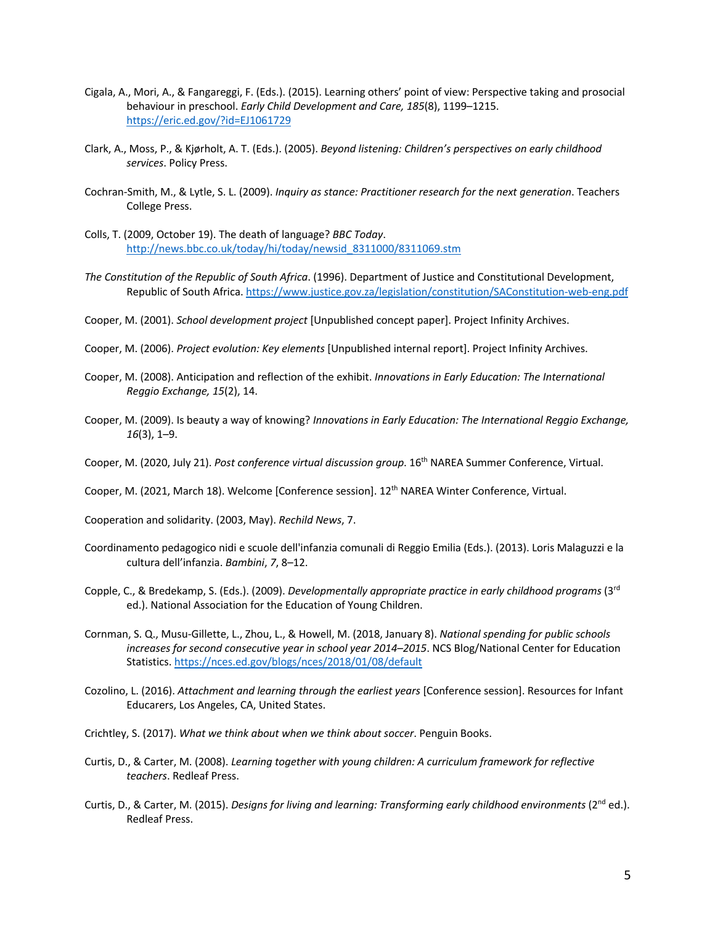- Cigala, A., Mori, A., & Fangareggi, F. (Eds.). (2015). Learning others' point of view: Perspective taking and prosocial behaviour in preschool. *Early Child Development and Care, 185*(8), 1199–1215. https://eric.ed.gov/?id=EJ1061729
- Clark, A., Moss, P., & Kjørholt, A. T. (Eds.). (2005). *Beyond listening: Children's perspectives on early childhood services*. Policy Press.
- Cochran-Smith, M., & Lytle, S. L. (2009). *Inquiry as stance: Practitioner research for the next generation*. Teachers College Press.
- Colls, T. (2009, October 19). The death of language? *BBC Today*. http://news.bbc.co.uk/today/hi/today/newsid\_8311000/8311069.stm
- *The Constitution of the Republic of South Africa*. (1996). Department of Justice and Constitutional Development, Republic of South Africa. https://www.justice.gov.za/legislation/constitution/SAConstitution-web-eng.pdf
- Cooper, M. (2001). *School development project* [Unpublished concept paper]. Project Infinity Archives.
- Cooper, M. (2006). *Project evolution: Key elements* [Unpublished internal report]. Project Infinity Archives.
- Cooper, M. (2008). Anticipation and reflection of the exhibit. *Innovations in Early Education: The International Reggio Exchange, 15*(2), 14.
- Cooper, M. (2009). Is beauty a way of knowing? *Innovations in Early Education: The International Reggio Exchange, 16*(3), 1–9.
- Cooper, M. (2020, July 21). *Post conference virtual discussion group*. 16th NAREA Summer Conference, Virtual.
- Cooper, M. (2021, March 18). Welcome [Conference session]. 12<sup>th</sup> NAREA Winter Conference, Virtual.
- Cooperation and solidarity. (2003, May). *Rechild News*, 7.
- Coordinamento pedagogico nidi e scuole dell'infanzia comunali di Reggio Emilia (Eds.). (2013). Loris Malaguzzi e la cultura dell'infanzia. *Bambini*, *7*, 8–12.
- Copple, C., & Bredekamp, S. (Eds.). (2009). *Developmentally appropriate practice in early childhood programs* (3rd ed.). National Association for the Education of Young Children.
- Cornman, S. Q., Musu-Gillette, L., Zhou, L., & Howell, M. (2018, January 8). *National spending for public schools increases for second consecutive year in school year 2014–2015*. NCS Blog/National Center for Education Statistics. https://nces.ed.gov/blogs/nces/2018/01/08/default
- Cozolino, L. (2016). *Attachment and learning through the earliest years* [Conference session]. Resources for Infant Educarers, Los Angeles, CA, United States.
- Crichtley, S. (2017). *What we think about when we think about soccer*. Penguin Books.
- Curtis, D., & Carter, M. (2008). *Learning together with young children: A curriculum framework for reflective teachers*. Redleaf Press.
- Curtis, D., & Carter, M. (2015). *Designs for living and learning: Transforming early childhood environments* (2<sup>nd</sup> ed.). Redleaf Press.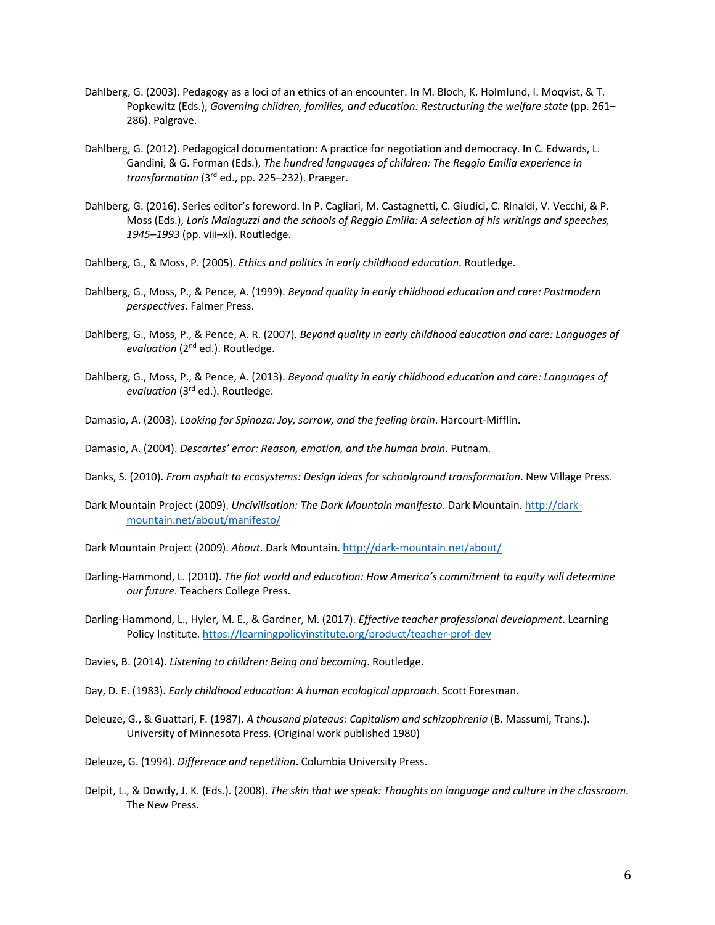- Dahlberg, G. (2003). Pedagogy as a loci of an ethics of an encounter. In M. Bloch, K. Holmlund, I. Moqvist, & T. Popkewitz (Eds.), *Governing children, families, and education: Restructuring the welfare state* (pp. 261– 286). Palgrave.
- Dahlberg, G. (2012). Pedagogical documentation: A practice for negotiation and democracy. In C. Edwards, L. Gandini, & G. Forman (Eds.), *The hundred languages of children: The Reggio Emilia experience in transformation* (3rd ed., pp. 225–232). Praeger.
- Dahlberg, G. (2016). Series editor's foreword. In P. Cagliari, M. Castagnetti, C. Giudici, C. Rinaldi, V. Vecchi, & P. Moss (Eds.), *Loris Malaguzzi and the schools of Reggio Emilia: A selection of his writings and speeches, 1945–1993* (pp. viii–xi). Routledge.
- Dahlberg, G., & Moss, P. (2005). *Ethics and politics in early childhood education*. Routledge.
- Dahlberg, G., Moss, P., & Pence, A. (1999). *Beyond quality in early childhood education and care: Postmodern perspectives*. Falmer Press.
- Dahlberg, G., Moss, P., & Pence, A. R. (2007). *Beyond quality in early childhood education and care: Languages of evaluation* (2nd ed.). Routledge.
- Dahlberg, G., Moss, P., & Pence, A. (2013). *Beyond quality in early childhood education and care: Languages of evaluation* (3rd ed.). Routledge.
- Damasio, A. (2003). *Looking for Spinoza: Joy, sorrow, and the feeling brain*. Harcourt-Mifflin.

Damasio, A. (2004). *Descartes' error: Reason, emotion, and the human brain*. Putnam.

- Danks, S. (2010). *From asphalt to ecosystems: Design ideas for schoolground transformation*. New Village Press.
- Dark Mountain Project (2009). *Uncivilisation: The Dark Mountain manifesto*. Dark Mountain. http://darkmountain.net/about/manifesto/
- Dark Mountain Project (2009). *About*. Dark Mountain. http://dark-mountain.net/about/
- Darling-Hammond, L. (2010). *The flat world and education: How America's commitment to equity will determine our future*. Teachers College Press.
- Darling-Hammond, L., Hyler, M. E., & Gardner, M. (2017). *Effective teacher professional development*. Learning Policy Institute. https://learningpolicyinstitute.org/product/teacher-prof-dev
- Davies, B. (2014). *Listening to children: Being and becoming*. Routledge.
- Day, D. E. (1983). *Early childhood education: A human ecological approach*. Scott Foresman.
- Deleuze, G., & Guattari, F. (1987). *A thousand plateaus: Capitalism and schizophrenia* (B. Massumi, Trans.). University of Minnesota Press. (Original work published 1980)
- Deleuze, G. (1994). *Difference and repetition*. Columbia University Press.
- Delpit, L., & Dowdy, J. K. (Eds.). (2008). *The skin that we speak: Thoughts on language and culture in the classroom*. The New Press.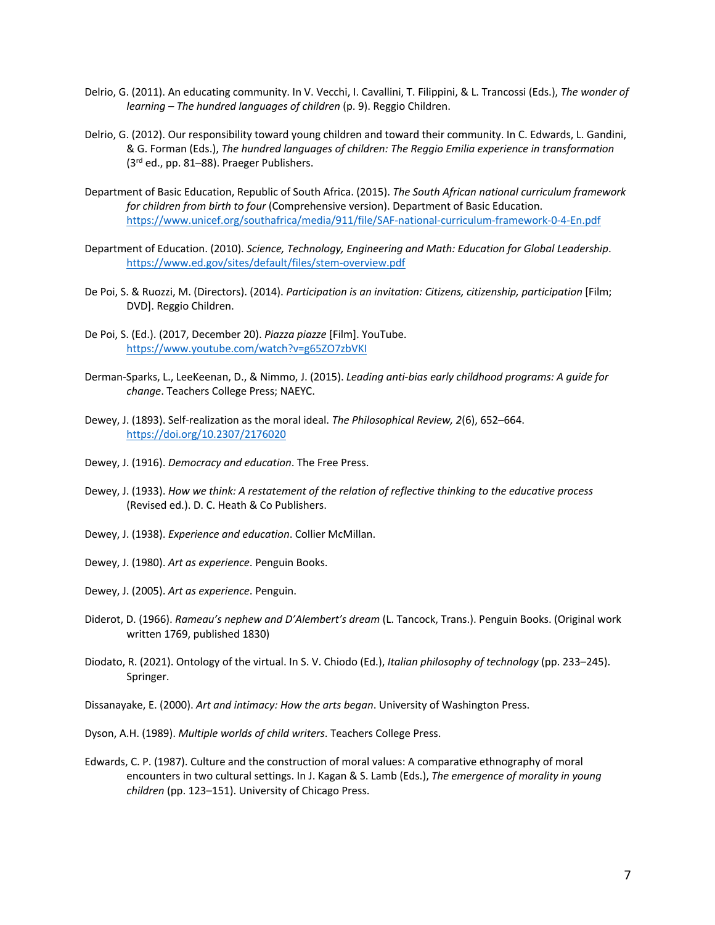- Delrio, G. (2011). An educating community. In V. Vecchi, I. Cavallini, T. Filippini, & L. Trancossi (Eds.), *The wonder of learning – The hundred languages of children* (p. 9). Reggio Children.
- Delrio, G. (2012). Our responsibility toward young children and toward their community. In C. Edwards, L. Gandini, & G. Forman (Eds.), *The hundred languages of children: The Reggio Emilia experience in transformation* (3rd ed., pp. 81–88). Praeger Publishers.
- Department of Basic Education, Republic of South Africa. (2015). *The South African national curriculum framework for children from birth to four* (Comprehensive version). Department of Basic Education. https://www.unicef.org/southafrica/media/911/file/SAF-national-curriculum-framework-0-4-En.pdf
- Department of Education. (2010). *Science, Technology, Engineering and Math: Education for Global Leadership*. https://www.ed.gov/sites/default/files/stem-overview.pdf
- De Poi, S. & Ruozzi, M. (Directors). (2014). *Participation is an invitation: Citizens, citizenship, participation* [Film; DVD]. Reggio Children.
- De Poi, S. (Ed.). (2017, December 20). *Piazza piazze* [Film]. YouTube. https://www.youtube.com/watch?v=g65ZO7zbVKI
- Derman-Sparks, L., LeeKeenan, D., & Nimmo, J. (2015). *Leading anti-bias early childhood programs: A guide for change*. Teachers College Press; NAEYC.
- Dewey, J. (1893). Self-realization as the moral ideal. *The Philosophical Review, 2*(6), 652–664. https://doi.org/10.2307/2176020
- Dewey, J. (1916). *Democracy and education*. The Free Press.
- Dewey, J. (1933). *How we think: A restatement of the relation of reflective thinking to the educative process*  (Revised ed.). D. C. Heath & Co Publishers.
- Dewey, J. (1938). *Experience and education*. Collier McMillan.
- Dewey, J. (1980). *Art as experience*. Penguin Books.
- Dewey, J. (2005). *Art as experience*. Penguin.
- Diderot, D. (1966). *Rameau's nephew and D'Alembert's dream* (L. Tancock, Trans.). Penguin Books. (Original work written 1769, published 1830)
- Diodato, R. (2021). Ontology of the virtual. In S. V. Chiodo (Ed.), *Italian philosophy of technology* (pp. 233–245). Springer.

Dissanayake, E. (2000). *Art and intimacy: How the arts began*. University of Washington Press.

- Dyson, A.H. (1989). *Multiple worlds of child writers*. Teachers College Press.
- Edwards, C. P. (1987). Culture and the construction of moral values: A comparative ethnography of moral encounters in two cultural settings. In J. Kagan & S. Lamb (Eds.), *The emergence of morality in young children* (pp. 123–151). University of Chicago Press.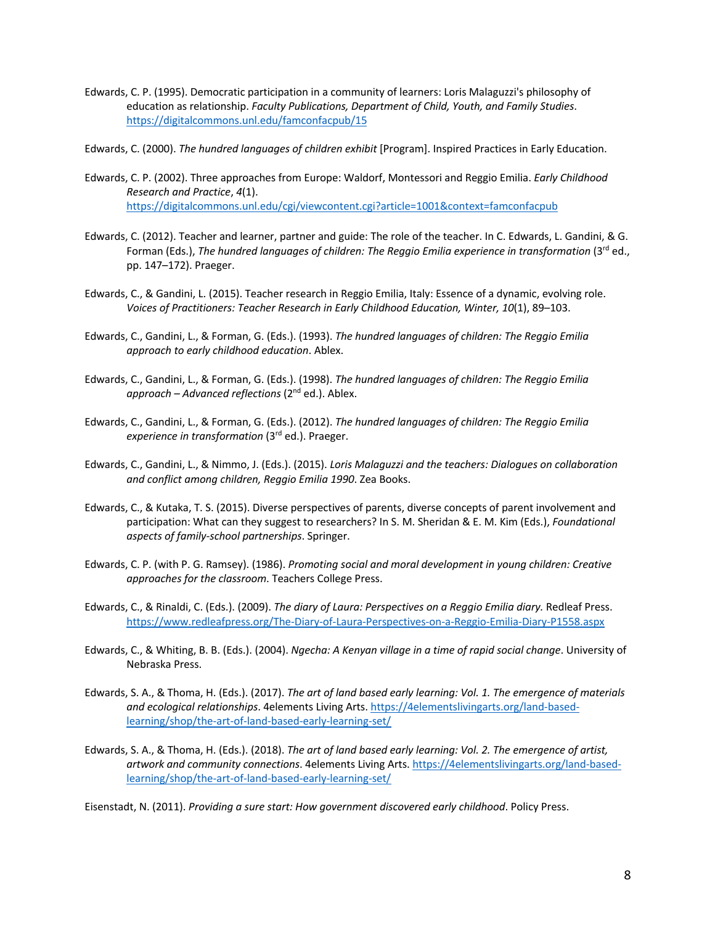Edwards, C. P. (1995). Democratic participation in a community of learners: Loris Malaguzzi's philosophy of education as relationship. *Faculty Publications, Department of Child, Youth, and Family Studies*. https://digitalcommons.unl.edu/famconfacpub/15

Edwards, C. (2000). *The hundred languages of children exhibit* [Program]. Inspired Practices in Early Education.

- Edwards, C. P. (2002). Three approaches from Europe: Waldorf, Montessori and Reggio Emilia. *Early Childhood Research and Practice*, *4*(1). https://digitalcommons.unl.edu/cgi/viewcontent.cgi?article=1001&context=famconfacpub
- Edwards, C. (2012). Teacher and learner, partner and guide: The role of the teacher. In C. Edwards, L. Gandini, & G. Forman (Eds.), *The hundred languages of children: The Reggio Emilia experience in transformation* (3<sup>rd</sup> ed., pp. 147–172). Praeger.
- Edwards, C., & Gandini, L. (2015). Teacher research in Reggio Emilia, Italy: Essence of a dynamic, evolving role. *Voices of Practitioners: Teacher Research in Early Childhood Education, Winter, 10*(1), 89–103.
- Edwards, C., Gandini, L., & Forman, G. (Eds.). (1993). *The hundred languages of children: The Reggio Emilia approach to early childhood education*. Ablex.
- Edwards, C., Gandini, L., & Forman, G. (Eds.). (1998). *The hundred languages of children: The Reggio Emilia approach – Advanced reflections* (2nd ed.). Ablex.
- Edwards, C., Gandini, L., & Forman, G. (Eds.). (2012). *The hundred languages of children: The Reggio Emilia experience in transformation* (3rd ed.). Praeger.
- Edwards, C., Gandini, L., & Nimmo, J. (Eds.). (2015). *Loris Malaguzzi and the teachers: Dialogues on collaboration and conflict among children, Reggio Emilia 1990*. Zea Books.
- Edwards, C., & Kutaka, T. S. (2015). Diverse perspectives of parents, diverse concepts of parent involvement and participation: What can they suggest to researchers? In S. M. Sheridan & E. M. Kim (Eds.), *Foundational aspects of family-school partnerships*. Springer.
- Edwards, C. P. (with P. G. Ramsey). (1986). *Promoting social and moral development in young children: Creative approaches for the classroom*. Teachers College Press.
- Edwards, C., & Rinaldi, C. (Eds.). (2009). *The diary of Laura: Perspectives on a Reggio Emilia diary.* Redleaf Press. https://www.redleafpress.org/The-Diary-of-Laura-Perspectives-on-a-Reggio-Emilia-Diary-P1558.aspx
- Edwards, C., & Whiting, B. B. (Eds.). (2004). *Ngecha: A Kenyan village in a time of rapid social change*. University of Nebraska Press.
- Edwards, S. A., & Thoma, H. (Eds.). (2017). *The art of land based early learning: Vol. 1. The emergence of materials and ecological relationships*. 4elements Living Arts. https://4elementslivingarts.org/land-basedlearning/shop/the-art-of-land-based-early-learning-set/
- Edwards, S. A., & Thoma, H. (Eds.). (2018). *The art of land based early learning: Vol. 2. The emergence of artist, artwork and community connections*. 4elements Living Arts. https://4elementslivingarts.org/land-basedlearning/shop/the-art-of-land-based-early-learning-set/

Eisenstadt, N. (2011). *Providing a sure start: How government discovered early childhood*. Policy Press.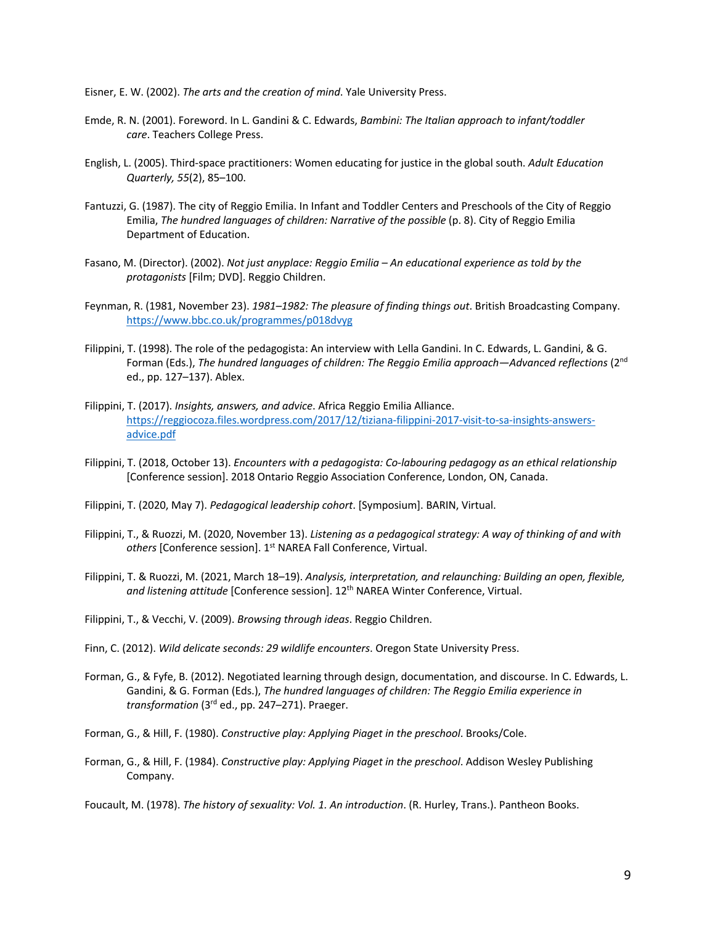Eisner, E. W. (2002). *The arts and the creation of mind*. Yale University Press.

- Emde, R. N. (2001). Foreword. In L. Gandini & C. Edwards, *Bambini: The Italian approach to infant/toddler care*. Teachers College Press.
- English, L. (2005). Third-space practitioners: Women educating for justice in the global south. *Adult Education Quarterly, 55*(2), 85–100.
- Fantuzzi, G. (1987). The city of Reggio Emilia. In Infant and Toddler Centers and Preschools of the City of Reggio Emilia, *The hundred languages of children: Narrative of the possible* (p. 8). City of Reggio Emilia Department of Education.
- Fasano, M. (Director). (2002). *Not just anyplace: Reggio Emilia – An educational experience as told by the protagonists* [Film; DVD]. Reggio Children.
- Feynman, R. (1981, November 23). *1981–1982: The pleasure of finding things out*. British Broadcasting Company. https://www.bbc.co.uk/programmes/p018dvyg
- Filippini, T. (1998). The role of the pedagogista: An interview with Lella Gandini. In C. Edwards, L. Gandini, & G. Forman (Eds.), *The hundred languages of children: The Reggio Emilia approach—Advanced reflections* (2nd ed., pp. 127–137). Ablex.
- Filippini, T. (2017). *Insights, answers, and advice*. Africa Reggio Emilia Alliance. https://reggiocoza.files.wordpress.com/2017/12/tiziana-filippini-2017-visit-to-sa-insights-answersadvice.pdf
- Filippini, T. (2018, October 13). *Encounters with a pedagogista: Co-labouring pedagogy as an ethical relationship*  [Conference session]. 2018 Ontario Reggio Association Conference, London, ON, Canada.
- Filippini, T. (2020, May 7). *Pedagogical leadership cohort*. [Symposium]. BARIN, Virtual.
- Filippini, T., & Ruozzi, M. (2020, November 13). *Listening as a pedagogical strategy: A way of thinking of and with*  others [Conference session]. 1<sup>st</sup> NAREA Fall Conference, Virtual.
- Filippini, T. & Ruozzi, M. (2021, March 18–19). *Analysis, interpretation, and relaunching: Building an open, flexible, and listening attitude* [Conference session]. 12th NAREA Winter Conference, Virtual.

Filippini, T., & Vecchi, V. (2009). *Browsing through ideas*. Reggio Children.

Finn, C. (2012). *Wild delicate seconds: 29 wildlife encounters*. Oregon State University Press.

Forman, G., & Fyfe, B. (2012). Negotiated learning through design, documentation, and discourse. In C. Edwards, L. Gandini, & G. Forman (Eds.), *The hundred languages of children: The Reggio Emilia experience in transformation* (3rd ed., pp. 247–271). Praeger.

Forman, G., & Hill, F. (1980). *Constructive play: Applying Piaget in the preschool*. Brooks/Cole.

Forman, G., & Hill, F. (1984). *Constructive play: Applying Piaget in the preschool*. Addison Wesley Publishing Company.

Foucault, M. (1978). *The history of sexuality: Vol. 1. An introduction*. (R. Hurley, Trans.). Pantheon Books.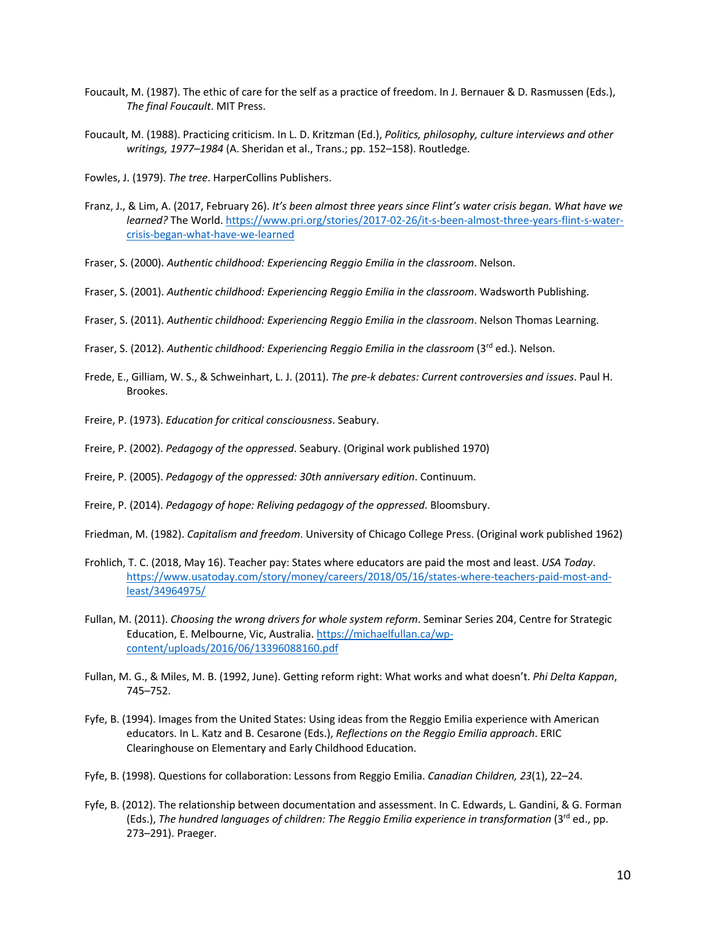- Foucault, M. (1987). The ethic of care for the self as a practice of freedom. In J. Bernauer & D. Rasmussen (Eds.), *The final Foucault*. MIT Press.
- Foucault, M. (1988). Practicing criticism. In L. D. Kritzman (Ed.), *Politics, philosophy, culture interviews and other writings, 1977–1984* (A. Sheridan et al., Trans.; pp. 152–158). Routledge.
- Fowles, J. (1979). *The tree*. HarperCollins Publishers.
- Franz, J., & Lim, A. (2017, February 26). *It's been almost three years since Flint's water crisis began. What have we learned?* The World. https://www.pri.org/stories/2017-02-26/it-s-been-almost-three-years-flint-s-watercrisis-began-what-have-we-learned
- Fraser, S. (2000). *Authentic childhood: Experiencing Reggio Emilia in the classroom*. Nelson.
- Fraser, S. (2001). *Authentic childhood: Experiencing Reggio Emilia in the classroom*. Wadsworth Publishing.
- Fraser, S. (2011). *Authentic childhood: Experiencing Reggio Emilia in the classroom*. Nelson Thomas Learning.
- Fraser, S. (2012). Authentic childhood: Experiencing Reggio Emilia in the classroom (3<sup>rd</sup> ed.). Nelson.
- Frede, E., Gilliam, W. S., & Schweinhart, L. J. (2011). *The pre-k debates: Current controversies and issues*. Paul H. Brookes.
- Freire, P. (1973). *Education for critical consciousness*. Seabury.
- Freire, P. (2002). *Pedagogy of the oppressed*. Seabury. (Original work published 1970)
- Freire, P. (2005). *Pedagogy of the oppressed: 30th anniversary edition*. Continuum.
- Freire, P. (2014). *Pedagogy of hope: Reliving pedagogy of the oppressed*. Bloomsbury.
- Friedman, M. (1982). *Capitalism and freedom*. University of Chicago College Press. (Original work published 1962)
- Frohlich, T. C. (2018, May 16). Teacher pay: States where educators are paid the most and least. *USA Today*. https://www.usatoday.com/story/money/careers/2018/05/16/states-where-teachers-paid-most-andleast/34964975/
- Fullan, M. (2011). *Choosing the wrong drivers for whole system reform*. Seminar Series 204, Centre for Strategic Education, E. Melbourne, Vic, Australia. https://michaelfullan.ca/wpcontent/uploads/2016/06/13396088160.pdf
- Fullan, M. G., & Miles, M. B. (1992, June). Getting reform right: What works and what doesn't. *Phi Delta Kappan*, 745–752.
- Fyfe, B. (1994). Images from the United States: Using ideas from the Reggio Emilia experience with American educators. In L. Katz and B. Cesarone (Eds.), *Reflections on the Reggio Emilia approach*. ERIC Clearinghouse on Elementary and Early Childhood Education.
- Fyfe, B. (1998). Questions for collaboration: Lessons from Reggio Emilia. *Canadian Children, 23*(1), 22–24.
- Fyfe, B. (2012). The relationship between documentation and assessment. In C. Edwards, L. Gandini, & G. Forman (Eds.), *The hundred languages of children: The Reggio Emilia experience in transformation* (3rd ed., pp. 273–291). Praeger.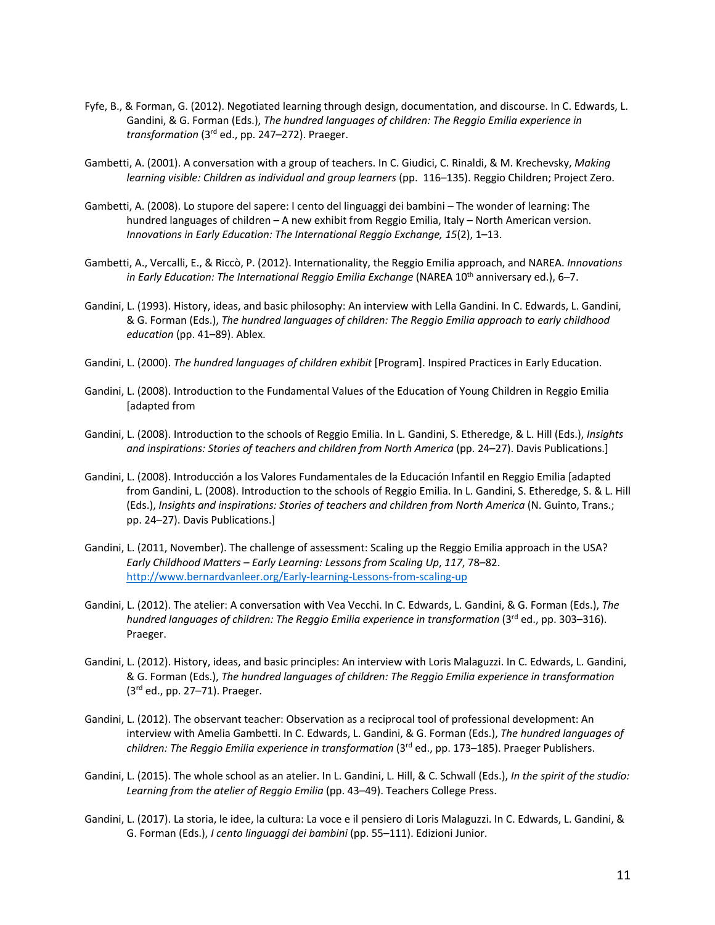- Fyfe, B., & Forman, G. (2012). Negotiated learning through design, documentation, and discourse. In C. Edwards, L. Gandini, & G. Forman (Eds.), *The hundred languages of children: The Reggio Emilia experience in transformation* (3rd ed., pp. 247–272). Praeger.
- Gambetti, A. (2001). A conversation with a group of teachers. In C. Giudici, C. Rinaldi, & M. Krechevsky, *Making learning visible: Children as individual and group learners* (pp. 116–135). Reggio Children; Project Zero.
- Gambetti, A. (2008). Lo stupore del sapere: I cento del linguaggi dei bambini The wonder of learning: The hundred languages of children – A new exhibit from Reggio Emilia, Italy – North American version. *Innovations in Early Education: The International Reggio Exchange, 15*(2), 1–13.
- Gambetti, A., Vercalli, E., & Riccò, P. (2012). Internationality, the Reggio Emilia approach, and NAREA. *Innovations in Early Education: The International Reggio Emilia Exchange* (NAREA 10<sup>th</sup> anniversary ed.), 6–7.
- Gandini, L. (1993). History, ideas, and basic philosophy: An interview with Lella Gandini. In C. Edwards, L. Gandini, & G. Forman (Eds.), *The hundred languages of children: The Reggio Emilia approach to early childhood education* (pp. 41–89). Ablex.
- Gandini, L. (2000). *The hundred languages of children exhibit* [Program]. Inspired Practices in Early Education.
- Gandini, L. (2008). Introduction to the Fundamental Values of the Education of Young Children in Reggio Emilia [adapted from
- Gandini, L. (2008). Introduction to the schools of Reggio Emilia. In L. Gandini, S. Etheredge, & L. Hill (Eds.), *Insights*  and inspirations: Stories of teachers and children from North America (pp. 24–27). Davis Publications.]
- Gandini, L. (2008). Introducción a los Valores Fundamentales de la Educación Infantil en Reggio Emilia [adapted from Gandini, L. (2008). Introduction to the schools of Reggio Emilia. In L. Gandini, S. Etheredge, S. & L. Hill (Eds.), *Insights and inspirations: Stories of teachers and children from North America* (N. Guinto, Trans.; pp. 24–27). Davis Publications.]
- Gandini, L. (2011, November). The challenge of assessment: Scaling up the Reggio Emilia approach in the USA? *Early Childhood Matters – Early Learning: Lessons from Scaling Up*, *117*, 78–82. http://www.bernardvanleer.org/Early-learning-Lessons-from-scaling-up
- Gandini, L. (2012). The atelier: A conversation with Vea Vecchi. In C. Edwards, L. Gandini, & G. Forman (Eds.), *The hundred languages of children: The Reggio Emilia experience in transformation* (3<sup>rd</sup> ed., pp. 303–316). Praeger.
- Gandini, L. (2012). History, ideas, and basic principles: An interview with Loris Malaguzzi. In C. Edwards, L. Gandini, & G. Forman (Eds.), *The hundred languages of children: The Reggio Emilia experience in transformation*   $(3<sup>rd</sup>$  ed., pp. 27–71). Praeger.
- Gandini, L. (2012). The observant teacher: Observation as a reciprocal tool of professional development: An interview with Amelia Gambetti. In C. Edwards, L. Gandini, & G. Forman (Eds.), *The hundred languages of children: The Reggio Emilia experience in transformation* (3rd ed., pp. 173–185). Praeger Publishers.
- Gandini, L. (2015). The whole school as an atelier. In L. Gandini, L. Hill, & C. Schwall (Eds.), *In the spirit of the studio: Learning from the atelier of Reggio Emilia* (pp. 43–49). Teachers College Press.
- Gandini, L. (2017). La storia, le idee, la cultura: La voce e il pensiero di Loris Malaguzzi. In C. Edwards, L. Gandini, & G. Forman (Eds.), *I cento linguaggi dei bambini* (pp. 55–111). Edizioni Junior.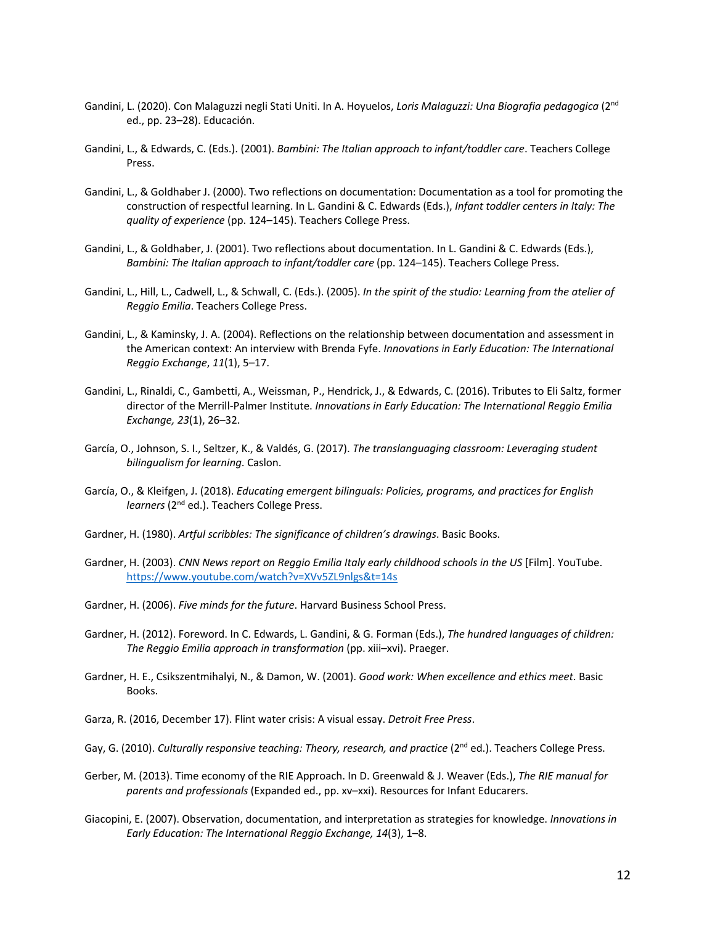- Gandini, L. (2020). Con Malaguzzi negli Stati Uniti. In A. Hoyuelos, *Loris Malaguzzi: Una Biografia pedagogica* (2nd ed., pp. 23–28). Educación.
- Gandini, L., & Edwards, C. (Eds.). (2001). *Bambini: The Italian approach to infant/toddler care*. Teachers College Press.
- Gandini, L., & Goldhaber J. (2000). Two reflections on documentation: Documentation as a tool for promoting the construction of respectful learning. In L. Gandini & C. Edwards (Eds.), *Infant toddler centers in Italy: The quality of experience* (pp. 124–145). Teachers College Press.
- Gandini, L., & Goldhaber, J. (2001). Two reflections about documentation. In L. Gandini & C. Edwards (Eds.), *Bambini: The Italian approach to infant/toddler care* (pp. 124–145). Teachers College Press.
- Gandini, L., Hill, L., Cadwell, L., & Schwall, C. (Eds.). (2005). *In the spirit of the studio: Learning from the atelier of Reggio Emilia*. Teachers College Press.
- Gandini, L., & Kaminsky, J. A. (2004). Reflections on the relationship between documentation and assessment in the American context: An interview with Brenda Fyfe. *Innovations in Early Education: The International Reggio Exchange*, *11*(1), 5–17.
- Gandini, L., Rinaldi, C., Gambetti, A., Weissman, P., Hendrick, J., & Edwards, C. (2016). Tributes to Eli Saltz, former director of the Merrill-Palmer Institute. *Innovations in Early Education: The International Reggio Emilia Exchange, 23*(1), 26–32.
- García, O., Johnson, S. I., Seltzer, K., & Valdés, G. (2017). *The translanguaging classroom: Leveraging student bilingualism for learning*. Caslon.
- García, O., & Kleifgen, J. (2018). *Educating emergent bilinguals: Policies, programs, and practices for English learners* (2<sup>nd</sup> ed.). Teachers College Press.
- Gardner, H. (1980). *Artful scribbles: The significance of children's drawings*. Basic Books.
- Gardner, H. (2003). *CNN News report on Reggio Emilia Italy early childhood schools in the US* [Film]. YouTube. https://www.youtube.com/watch?v=XVv5ZL9nlgs&t=14s
- Gardner, H. (2006). *Five minds for the future*. Harvard Business School Press.
- Gardner, H. (2012). Foreword. In C. Edwards, L. Gandini, & G. Forman (Eds.), *The hundred languages of children: The Reggio Emilia approach in transformation* (pp. xiii–xvi). Praeger.
- Gardner, H. E., Csikszentmihalyi, N., & Damon, W. (2001). *Good work: When excellence and ethics meet*. Basic Books.
- Garza, R. (2016, December 17). Flint water crisis: A visual essay. *Detroit Free Press*.
- Gay, G. (2010). *Culturally responsive teaching: Theory, research, and practice* (2<sup>nd</sup> ed.). Teachers College Press.
- Gerber, M. (2013). Time economy of the RIE Approach. In D. Greenwald & J. Weaver (Eds.), *The RIE manual for parents and professionals* (Expanded ed., pp. xv–xxi). Resources for Infant Educarers.
- Giacopini, E. (2007). Observation, documentation, and interpretation as strategies for knowledge. *Innovations in Early Education: The International Reggio Exchange, 14*(3), 1–8.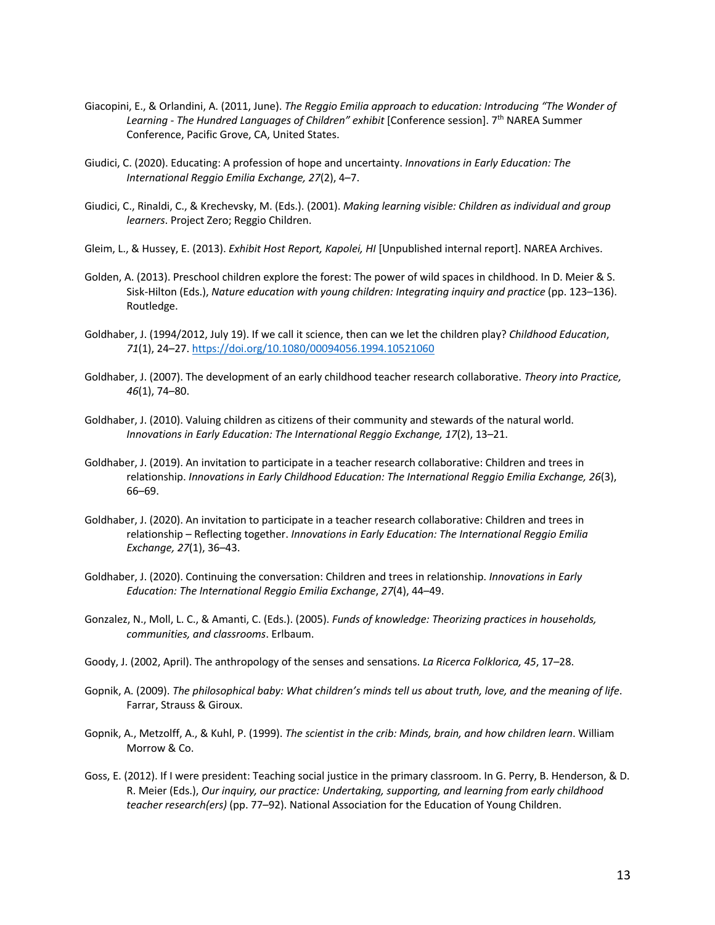- Giacopini, E., & Orlandini, A. (2011, June). *The Reggio Emilia approach to education: Introducing "The Wonder of Learning - The Hundred Languages of Children" exhibit* [Conference session]. 7th NAREA Summer Conference, Pacific Grove, CA, United States.
- Giudici, C. (2020). Educating: A profession of hope and uncertainty. *Innovations in Early Education: The International Reggio Emilia Exchange, 27*(2), 4–7.
- Giudici, C., Rinaldi, C., & Krechevsky, M. (Eds.). (2001). *Making learning visible: Children as individual and group learners*. Project Zero; Reggio Children.
- Gleim, L., & Hussey, E. (2013). *Exhibit Host Report, Kapolei, HI* [Unpublished internal report]. NAREA Archives.
- Golden, A. (2013). Preschool children explore the forest: The power of wild spaces in childhood. In D. Meier & S. Sisk-Hilton (Eds.), *Nature education with young children: Integrating inquiry and practice* (pp. 123–136). Routledge.
- Goldhaber, J. (1994/2012, July 19). If we call it science, then can we let the children play? *Childhood Education*, *71*(1), 24–27. https://doi.org/10.1080/00094056.1994.10521060
- Goldhaber, J. (2007). The development of an early childhood teacher research collaborative. *Theory into Practice, 46*(1), 74–80.
- Goldhaber, J. (2010). Valuing children as citizens of their community and stewards of the natural world. *Innovations in Early Education: The International Reggio Exchange, 17*(2), 13–21.
- Goldhaber, J. (2019). An invitation to participate in a teacher research collaborative: Children and trees in relationship. *Innovations in Early Childhood Education: The International Reggio Emilia Exchange, 26*(3), 66–69.
- Goldhaber, J. (2020). An invitation to participate in a teacher research collaborative: Children and trees in relationship – Reflecting together. *Innovations in Early Education: The International Reggio Emilia Exchange, 27*(1), 36–43.
- Goldhaber, J. (2020). Continuing the conversation: Children and trees in relationship. *Innovations in Early Education: The International Reggio Emilia Exchange*, *27*(4), 44–49.
- Gonzalez, N., Moll, L. C., & Amanti, C. (Eds.). (2005). *Funds of knowledge: Theorizing practices in households, communities, and classrooms*. Erlbaum.
- Goody, J. (2002, April). The anthropology of the senses and sensations. *La Ricerca Folklorica, 45*, 17–28.
- Gopnik, A. (2009). *The philosophical baby: What children's minds tell us about truth, love, and the meaning of life*. Farrar, Strauss & Giroux.
- Gopnik, A., Metzolff, A., & Kuhl, P. (1999). *The scientist in the crib: Minds, brain, and how children learn*. William Morrow & Co.
- Goss, E. (2012). If I were president: Teaching social justice in the primary classroom. In G. Perry, B. Henderson, & D. R. Meier (Eds.), *Our inquiry, our practice: Undertaking, supporting, and learning from early childhood teacher research(ers)* (pp. 77–92). National Association for the Education of Young Children.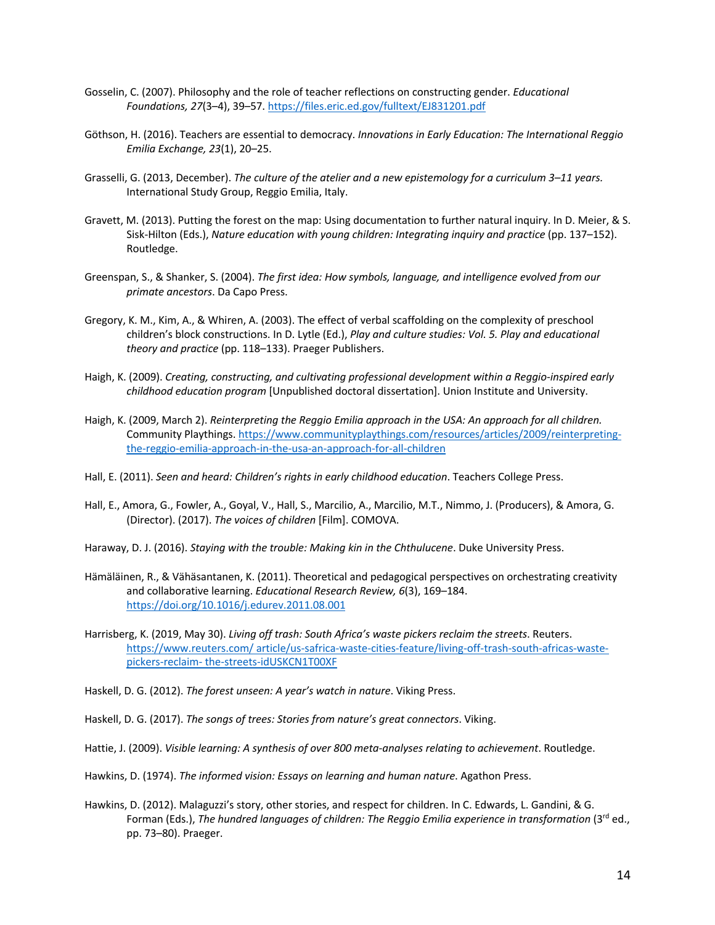- Gosselin, C. (2007). Philosophy and the role of teacher reflections on constructing gender. *Educational Foundations, 27*(3–4), 39–57. https://files.eric.ed.gov/fulltext/EJ831201.pdf
- Göthson, H. (2016). Teachers are essential to democracy. *Innovations in Early Education: The International Reggio Emilia Exchange, 23*(1), 20–25.
- Grasselli, G. (2013, December). *The culture of the atelier and a new epistemology for a curriculum 3–11 years.*  International Study Group, Reggio Emilia, Italy.
- Gravett, M. (2013). Putting the forest on the map: Using documentation to further natural inquiry. In D. Meier, & S. Sisk-Hilton (Eds.), *Nature education with young children: Integrating inquiry and practice* (pp. 137–152). Routledge.
- Greenspan, S., & Shanker, S. (2004). *The first idea: How symbols, language, and intelligence evolved from our primate ancestors*. Da Capo Press.
- Gregory, K. M., Kim, A., & Whiren, A. (2003). The effect of verbal scaffolding on the complexity of preschool children's block constructions. In D. Lytle (Ed.), *Play and culture studies: Vol. 5. Play and educational theory and practice* (pp. 118–133). Praeger Publishers.
- Haigh, K. (2009). *Creating, constructing, and cultivating professional development within a Reggio-inspired early childhood education program* [Unpublished doctoral dissertation]. Union Institute and University.
- Haigh, K. (2009, March 2). *Reinterpreting the Reggio Emilia approach in the USA: An approach for all children.* Community Playthings. https://www.communityplaythings.com/resources/articles/2009/reinterpretingthe-reggio-emilia-approach-in-the-usa-an-approach-for-all-children
- Hall, E. (2011). *Seen and heard: Children's rights in early childhood education*. Teachers College Press.
- Hall, E., Amora, G., Fowler, A., Goyal, V., Hall, S., Marcilio, A., Marcilio, M.T., Nimmo, J. (Producers), & Amora, G. (Director). (2017). *The voices of children* [Film]. COMOVA.
- Haraway, D. J. (2016). *Staying with the trouble: Making kin in the Chthulucene*. Duke University Press.
- Hämäläinen, R., & Vähäsantanen, K. (2011). Theoretical and pedagogical perspectives on orchestrating creativity and collaborative learning. *Educational Research Review, 6*(3), 169–184. https://doi.org/10.1016/j.edurev.2011.08.001
- Harrisberg, K. (2019, May 30). *Living off trash: South Africa's waste pickers reclaim the streets*. Reuters. https://www.reuters.com/ article/us-safrica-waste-cities-feature/living-off-trash-south-africas-wastepickers-reclaim- the-streets-idUSKCN1T00XF
- Haskell, D. G. (2012). *The forest unseen: A year's watch in nature*. Viking Press.
- Haskell, D. G. (2017). *The songs of trees: Stories from nature's great connectors*. Viking.
- Hattie, J. (2009). *Visible learning: A synthesis of over 800 meta-analyses relating to achievement*. Routledge.
- Hawkins, D. (1974). *The informed vision: Essays on learning and human nature*. Agathon Press.
- Hawkins, D. (2012). Malaguzzi's story, other stories, and respect for children. In C. Edwards, L. Gandini, & G. Forman (Eds.), *The hundred languages of children: The Reggio Emilia experience in transformation* (3rd ed., pp. 73–80). Praeger.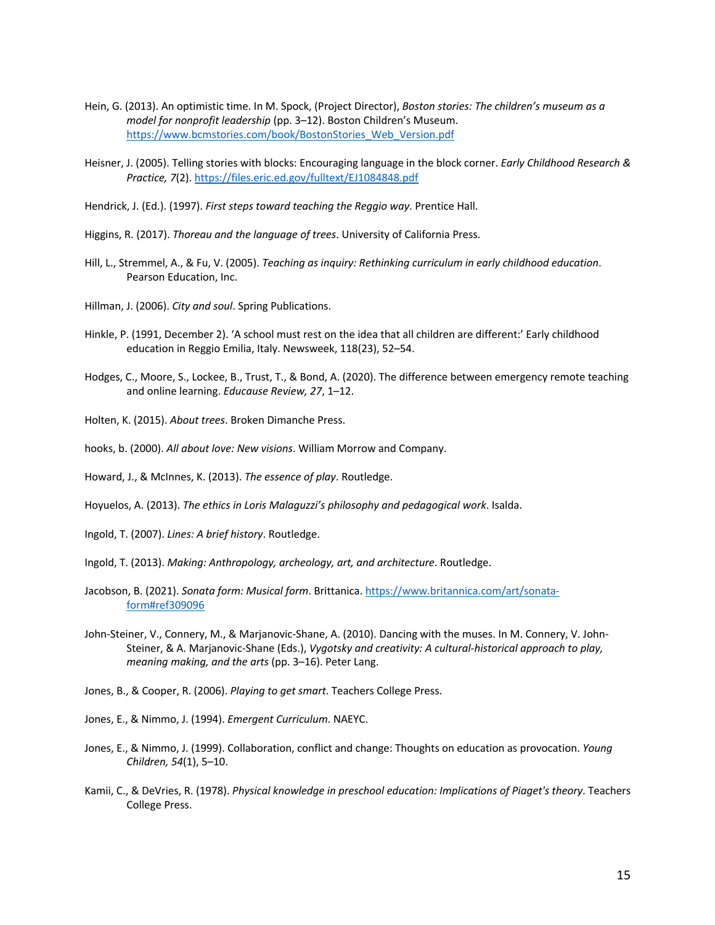- Hein, G. (2013). An optimistic time. In M. Spock, (Project Director), *Boston stories: The children's museum as a model for nonprofit leadership* (pp. 3–12). Boston Children's Museum. https://www.bcmstories.com/book/BostonStories\_Web\_Version.pdf
- Heisner, J. (2005). Telling stories with blocks: Encouraging language in the block corner. *Early Childhood Research & Practice, 7*(2). https://files.eric.ed.gov/fulltext/EJ1084848.pdf
- Hendrick, J. (Ed.). (1997). *First steps toward teaching the Reggio way*. Prentice Hall.
- Higgins, R. (2017). *Thoreau and the language of trees*. University of California Press.
- Hill, L., Stremmel, A., & Fu, V. (2005). *Teaching as inquiry: Rethinking curriculum in early childhood education*. Pearson Education, Inc.
- Hillman, J. (2006). *City and soul*. Spring Publications.
- Hinkle, P. (1991, December 2). 'A school must rest on the idea that all children are different:' Early childhood education in Reggio Emilia, Italy. Newsweek, 118(23), 52–54.
- Hodges, C., Moore, S., Lockee, B., Trust, T., & Bond, A. (2020). The difference between emergency remote teaching and online learning. *Educause Review, 27*, 1–12.
- Holten, K. (2015). *About trees*. Broken Dimanche Press.
- hooks, b. (2000). *All about love: New visions*. William Morrow and Company.
- Howard, J., & McInnes, K. (2013). *The essence of play*. Routledge.
- Hoyuelos, A. (2013). *The ethics in Loris Malaguzzi's philosophy and pedagogical work*. Isalda.
- Ingold, T. (2007). *Lines: A brief history*. Routledge.
- Ingold, T. (2013). *Making: Anthropology, archeology, art, and architecture*. Routledge.
- Jacobson, B. (2021). *Sonata form: Musical form*. Brittanica. https://www.britannica.com/art/sonataform#ref309096
- John-Steiner, V., Connery, M., & Marjanovic-Shane, A. (2010). Dancing with the muses. In M. Connery, V. John-Steiner, & A. Marjanovic-Shane (Eds.), *Vygotsky and creativity: A cultural-historical approach to play, meaning making, and the arts* (pp. 3–16). Peter Lang.
- Jones, B., & Cooper, R. (2006). *Playing to get smart*. Teachers College Press.
- Jones, E., & Nimmo, J. (1994). *Emergent Curriculum*. NAEYC.
- Jones, E., & Nimmo, J. (1999). Collaboration, conflict and change: Thoughts on education as provocation. *Young Children, 54*(1), 5–10.
- Kamii, C., & DeVries, R. (1978). *Physical knowledge in preschool education: Implications of Piaget's theory*. Teachers College Press.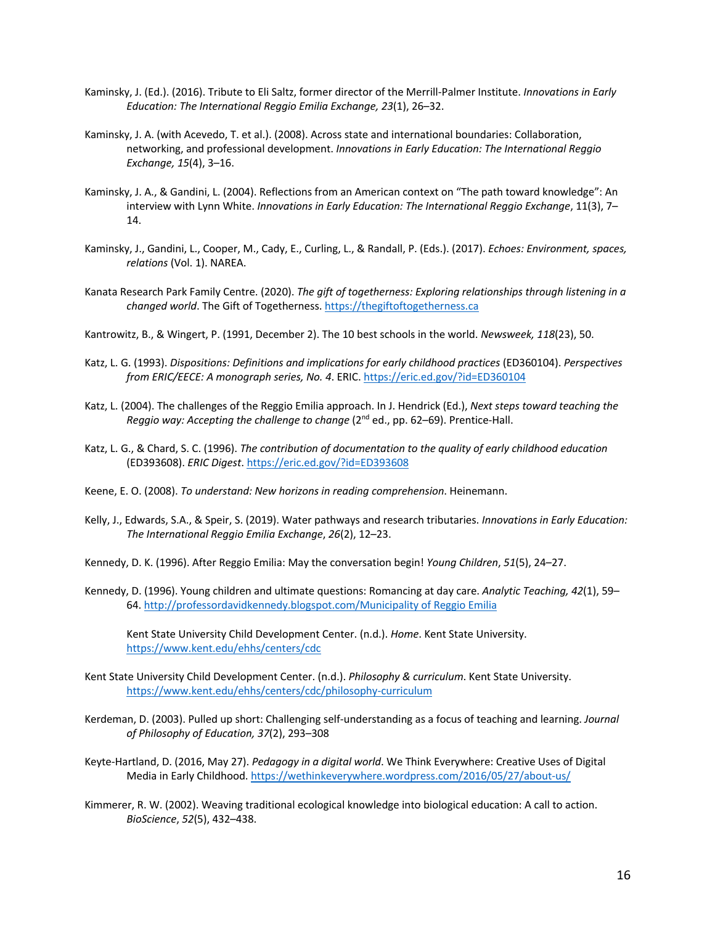- Kaminsky, J. (Ed.). (2016). Tribute to Eli Saltz, former director of the Merrill-Palmer Institute. *Innovations in Early Education: The International Reggio Emilia Exchange, 23*(1), 26–32.
- Kaminsky, J. A. (with Acevedo, T. et al.). (2008). Across state and international boundaries: Collaboration, networking, and professional development. *Innovations in Early Education: The International Reggio Exchange, 15*(4), 3–16.
- Kaminsky, J. A., & Gandini, L. (2004). Reflections from an American context on "The path toward knowledge": An interview with Lynn White. *Innovations in Early Education: The International Reggio Exchange*, 11(3), 7– 14.
- Kaminsky, J., Gandini, L., Cooper, M., Cady, E., Curling, L., & Randall, P. (Eds.). (2017). *Echoes: Environment, spaces, relations* (Vol. 1). NAREA.
- Kanata Research Park Family Centre. (2020). *The gift of togetherness: Exploring relationships through listening in a changed world*. The Gift of Togetherness. https://thegiftoftogetherness.ca

Kantrowitz, B., & Wingert, P. (1991, December 2). The 10 best schools in the world. *Newsweek, 118*(23), 50.

- Katz, L. G. (1993). *Dispositions: Definitions and implications for early childhood practices* (ED360104). *Perspectives from ERIC/EECE: A monograph series, No. 4*. ERIC. https://eric.ed.gov/?id=ED360104
- Katz, L. (2004). The challenges of the Reggio Emilia approach. In J. Hendrick (Ed.), *Next steps toward teaching the Reggio way: Accepting the challenge to change* (2nd ed., pp. 62–69). Prentice-Hall.
- Katz, L. G., & Chard, S. C. (1996). *The contribution of documentation to the quality of early childhood education* (ED393608). *ERIC Digest*. https://eric.ed.gov/?id=ED393608

Keene, E. O. (2008). *To understand: New horizons in reading comprehension*. Heinemann.

Kelly, J., Edwards, S.A., & Speir, S. (2019). Water pathways and research tributaries. *Innovations in Early Education: The International Reggio Emilia Exchange*, *26*(2), 12–23.

Kennedy, D. K. (1996). After Reggio Emilia: May the conversation begin! *Young Children*, *51*(5), 24–27.

Kennedy, D. (1996). Young children and ultimate questions: Romancing at day care. *Analytic Teaching, 42*(1), 59– 64. http://professordavidkennedy.blogspot.com/Municipality of Reggio Emilia

Kent State University Child Development Center. (n.d.). *Home*. Kent State University. https://www.kent.edu/ehhs/centers/cdc

- Kent State University Child Development Center. (n.d.). *Philosophy & curriculum*. Kent State University. https://www.kent.edu/ehhs/centers/cdc/philosophy-curriculum
- Kerdeman, D. (2003). Pulled up short: Challenging self-understanding as a focus of teaching and learning. *Journal of Philosophy of Education, 37*(2), 293–308
- Keyte-Hartland, D. (2016, May 27). *Pedagogy in a digital world*. We Think Everywhere: Creative Uses of Digital Media in Early Childhood. https://wethinkeverywhere.wordpress.com/2016/05/27/about-us/
- Kimmerer, R. W. (2002). Weaving traditional ecological knowledge into biological education: A call to action. *BioScience*, *52*(5), 432–438.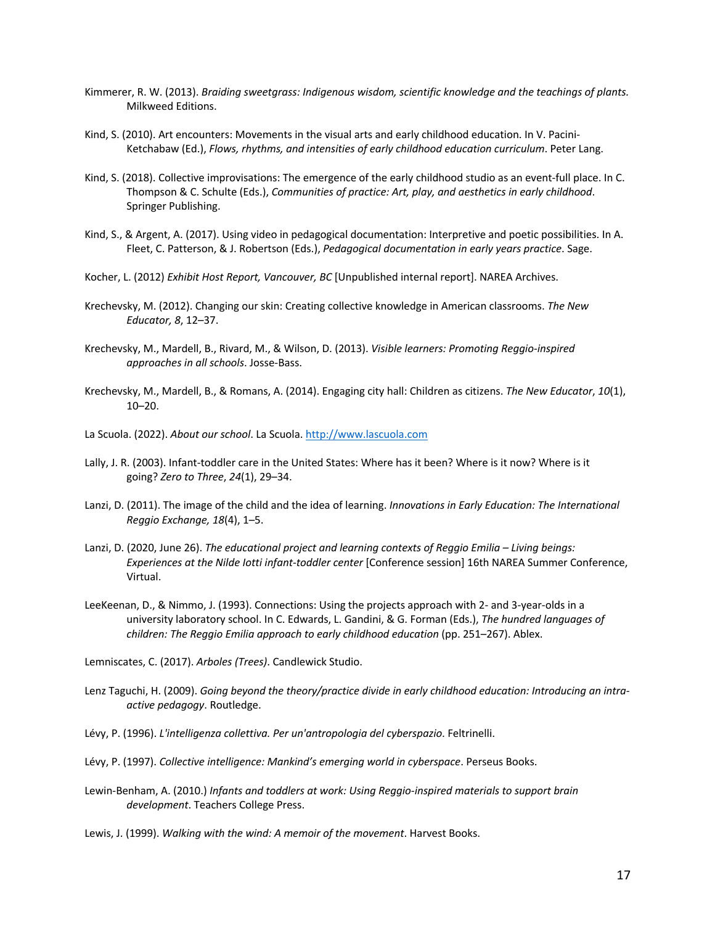- Kimmerer, R. W. (2013). *Braiding sweetgrass: Indigenous wisdom, scientific knowledge and the teachings of plants.* Milkweed Editions.
- Kind, S. (2010). Art encounters: Movements in the visual arts and early childhood education. In V. Pacini-Ketchabaw (Ed.), *Flows, rhythms, and intensities of early childhood education curriculum*. Peter Lang.
- Kind, S. (2018). Collective improvisations: The emergence of the early childhood studio as an event-full place. In C. Thompson & C. Schulte (Eds.), *Communities of practice: Art, play, and aesthetics in early childhood*. Springer Publishing.
- Kind, S., & Argent, A. (2017). Using video in pedagogical documentation: Interpretive and poetic possibilities. In A. Fleet, C. Patterson, & J. Robertson (Eds.), *Pedagogical documentation in early years practice*. Sage.
- Kocher, L. (2012) *Exhibit Host Report, Vancouver, BC* [Unpublished internal report]. NAREA Archives.
- Krechevsky, M. (2012). Changing our skin: Creating collective knowledge in American classrooms. *The New Educator, 8*, 12–37.
- Krechevsky, M., Mardell, B., Rivard, M., & Wilson, D. (2013). *Visible learners: Promoting Reggio-inspired approaches in all schools*. Josse-Bass.
- Krechevsky, M., Mardell, B., & Romans, A. (2014). Engaging city hall: Children as citizens. *The New Educator*, *10*(1), 10–20.
- La Scuola. (2022). *About our school*. La Scuola. http://www.lascuola.com
- Lally, J. R. (2003). Infant-toddler care in the United States: Where has it been? Where is it now? Where is it going? *Zero to Three*, *24*(1), 29–34.
- Lanzi, D. (2011). The image of the child and the idea of learning. *Innovations in Early Education: The International Reggio Exchange, 18*(4), 1–5.
- Lanzi, D. (2020, June 26). *The educational project and learning contexts of Reggio Emilia – Living beings: Experiences at the Nilde Iotti infant-toddler center* [Conference session] 16th NAREA Summer Conference, Virtual.
- LeeKeenan, D., & Nimmo, J. (1993). Connections: Using the projects approach with 2- and 3-year-olds in a university laboratory school. In C. Edwards, L. Gandini, & G. Forman (Eds.), *The hundred languages of children: The Reggio Emilia approach to early childhood education* (pp. 251–267). Ablex.

Lemniscates, C. (2017). *Arboles (Trees)*. Candlewick Studio.

- Lenz Taguchi, H. (2009). *Going beyond the theory/practice divide in early childhood education: Introducing an intraactive pedagogy*. Routledge.
- Lévy, P. (1996). *L'intelligenza collettiva. Per un'antropologia del cyberspazio*. Feltrinelli.
- Lévy, P. (1997). *Collective intelligence: Mankind's emerging world in cyberspace*. Perseus Books.
- Lewin-Benham, A. (2010.) *Infants and toddlers at work: Using Reggio-inspired materials to support brain development*. Teachers College Press.
- Lewis, J. (1999). *Walking with the wind: A memoir of the movement*. Harvest Books.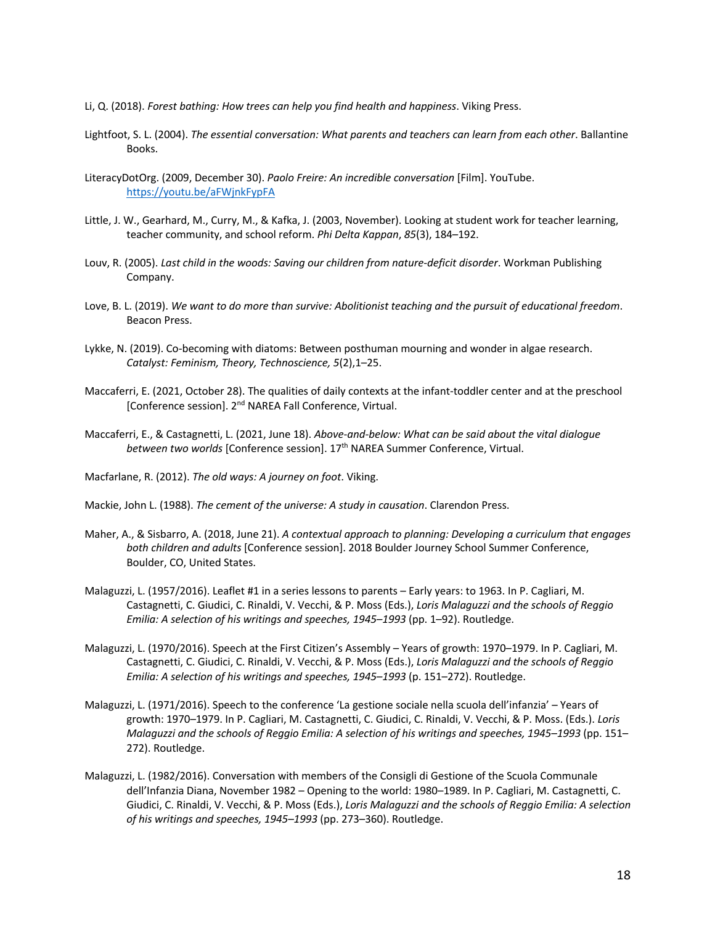- Li, Q. (2018). *Forest bathing: How trees can help you find health and happiness*. Viking Press.
- Lightfoot, S. L. (2004). *The essential conversation: What parents and teachers can learn from each other*. Ballantine Books.
- LiteracyDotOrg. (2009, December 30). *Paolo Freire: An incredible conversation* [Film]. YouTube. https://youtu.be/aFWjnkFypFA
- Little, J. W., Gearhard, M., Curry, M., & Kafka, J. (2003, November). Looking at student work for teacher learning, teacher community, and school reform. *Phi Delta Kappan*, *85*(3), 184–192.
- Louv, R. (2005). *Last child in the woods: Saving our children from nature-deficit disorder*. Workman Publishing Company.
- Love, B. L. (2019). *We want to do more than survive: Abolitionist teaching and the pursuit of educational freedom*. Beacon Press.
- Lykke, N. (2019). Co-becoming with diatoms: Between posthuman mourning and wonder in algae research. *Catalyst: Feminism, Theory, Technoscience, 5*(2),1–25.
- Maccaferri, E. (2021, October 28). The qualities of daily contexts at the infant-toddler center and at the preschool [Conference session]. 2<sup>nd</sup> NAREA Fall Conference, Virtual.
- Maccaferri, E., & Castagnetti, L. (2021, June 18). *Above-and-below: What can be said about the vital dialogue between two worlds* [Conference session]. 17th NAREA Summer Conference, Virtual.
- Macfarlane, R. (2012). *The old ways: A journey on foot*. Viking.
- Mackie, John L. (1988). *The cement of the universe: A study in causation*. Clarendon Press.
- Maher, A., & Sisbarro, A. (2018, June 21). *A contextual approach to planning: Developing a curriculum that engages both children and adults* [Conference session]. 2018 Boulder Journey School Summer Conference, Boulder, CO, United States.
- Malaguzzi, L. (1957/2016). Leaflet #1 in a series lessons to parents Early years: to 1963. In P. Cagliari, M. Castagnetti, C. Giudici, C. Rinaldi, V. Vecchi, & P. Moss (Eds.), *Loris Malaguzzi and the schools of Reggio Emilia: A selection of his writings and speeches, 1945–1993* (pp. 1–92). Routledge.
- Malaguzzi, L. (1970/2016). Speech at the First Citizen's Assembly Years of growth: 1970–1979. In P. Cagliari, M. Castagnetti, C. Giudici, C. Rinaldi, V. Vecchi, & P. Moss (Eds.), *Loris Malaguzzi and the schools of Reggio Emilia: A selection of his writings and speeches, 1945–1993* (p. 151–272). Routledge.
- Malaguzzi, L. (1971/2016). Speech to the conference 'La gestione sociale nella scuola dell'infanzia' Years of growth: 1970–1979. In P. Cagliari, M. Castagnetti, C. Giudici, C. Rinaldi, V. Vecchi, & P. Moss. (Eds.). *Loris Malaguzzi and the schools of Reggio Emilia: A selection of his writings and speeches, 1945–1993* (pp. 151– 272). Routledge.
- Malaguzzi, L. (1982/2016). Conversation with members of the Consigli di Gestione of the Scuola Communale dell'Infanzia Diana, November 1982 – Opening to the world: 1980–1989. In P. Cagliari, M. Castagnetti, C. Giudici, C. Rinaldi, V. Vecchi, & P. Moss (Eds.), *Loris Malaguzzi and the schools of Reggio Emilia: A selection of his writings and speeches, 1945–1993* (pp. 273–360). Routledge.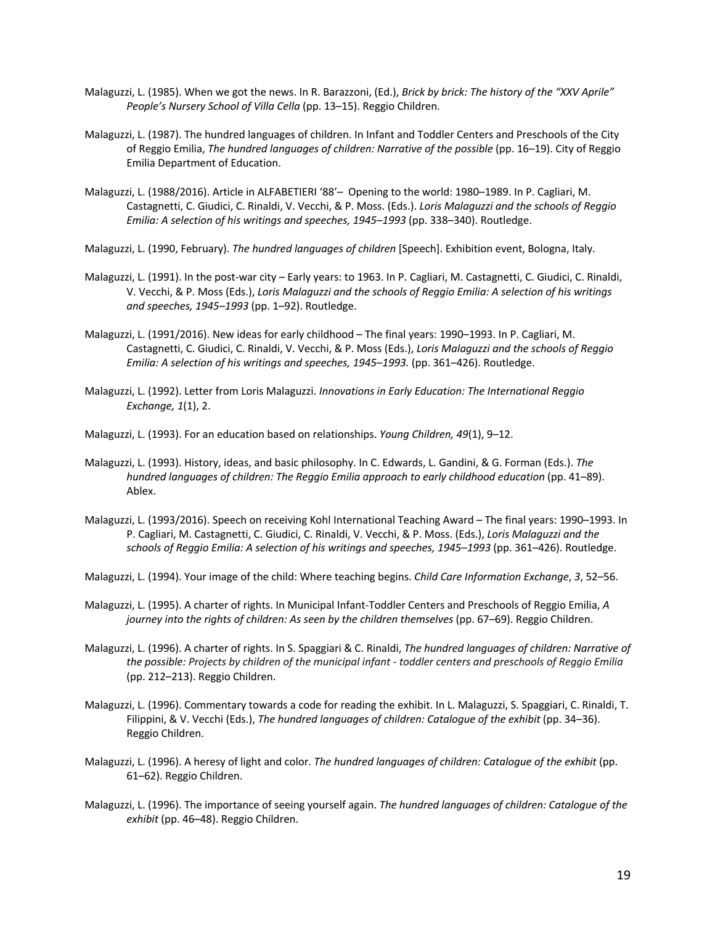- Malaguzzi, L. (1985). When we got the news. In R. Barazzoni, (Ed.), *Brick by brick: The history of the "XXV Aprile" People's Nursery School of Villa Cella* (pp. 13–15). Reggio Children.
- Malaguzzi, L. (1987). The hundred languages of children. In Infant and Toddler Centers and Preschools of the City of Reggio Emilia, *The hundred languages of children: Narrative of the possible* (pp. 16–19). City of Reggio Emilia Department of Education.
- Malaguzzi, L. (1988/2016). Article in ALFABETIERI '88'– Opening to the world: 1980–1989. In P. Cagliari, M. Castagnetti, C. Giudici, C. Rinaldi, V. Vecchi, & P. Moss. (Eds.). *Loris Malaguzzi and the schools of Reggio Emilia: A selection of his writings and speeches, 1945–1993* (pp. 338–340). Routledge.
- Malaguzzi, L. (1990, February). *The hundred languages of children* [Speech]. Exhibition event, Bologna, Italy.
- Malaguzzi, L. (1991). In the post-war city Early years: to 1963. In P. Cagliari, M. Castagnetti, C. Giudici, C. Rinaldi, V. Vecchi, & P. Moss (Eds.), *Loris Malaguzzi and the schools of Reggio Emilia: A selection of his writings and speeches, 1945–1993* (pp. 1–92). Routledge.
- Malaguzzi, L. (1991/2016). New ideas for early childhood The final years: 1990–1993. In P. Cagliari, M. Castagnetti, C. Giudici, C. Rinaldi, V. Vecchi, & P. Moss (Eds.), *Loris Malaguzzi and the schools of Reggio Emilia: A selection of his writings and speeches, 1945–1993.* (pp. 361–426). Routledge.
- Malaguzzi, L. (1992). Letter from Loris Malaguzzi. *Innovations in Early Education: The International Reggio Exchange, 1*(1), 2.
- Malaguzzi, L. (1993). For an education based on relationships. *Young Children, 49*(1), 9–12.
- Malaguzzi, L. (1993). History, ideas, and basic philosophy. In C. Edwards, L. Gandini, & G. Forman (Eds.). *The hundred languages of children: The Reggio Emilia approach to early childhood education (pp. 41–89).* Ablex.
- Malaguzzi, L. (1993/2016). Speech on receiving Kohl International Teaching Award The final years: 1990–1993. In P. Cagliari, M. Castagnetti, C. Giudici, C. Rinaldi, V. Vecchi, & P. Moss. (Eds.), *Loris Malaguzzi and the schools of Reggio Emilia: A selection of his writings and speeches, 1945–1993* (pp. 361–426). Routledge.
- Malaguzzi, L. (1994). Your image of the child: Where teaching begins. *Child Care Information Exchange*, *3*, 52–56.
- Malaguzzi, L. (1995). A charter of rights. In Municipal Infant-Toddler Centers and Preschools of Reggio Emilia, *A journey into the rights of children: As seen by the children themselves* (pp. 67–69). Reggio Children.
- Malaguzzi, L. (1996). A charter of rights. In S. Spaggiari & C. Rinaldi, *The hundred languages of children: Narrative of the possible: Projects by children of the municipal infant - toddler centers and preschools of Reggio Emilia* (pp. 212–213). Reggio Children.
- Malaguzzi, L. (1996). Commentary towards a code for reading the exhibit. In L. Malaguzzi, S. Spaggiari, C. Rinaldi, T. Filippini, & V. Vecchi (Eds.), *The hundred languages of children: Catalogue of the exhibit* (pp. 34–36). Reggio Children.
- Malaguzzi, L. (1996). A heresy of light and color. *The hundred languages of children: Catalogue of the exhibit* (pp. 61–62). Reggio Children.
- Malaguzzi, L. (1996). The importance of seeing yourself again. *The hundred languages of children: Catalogue of the exhibit* (pp. 46–48). Reggio Children.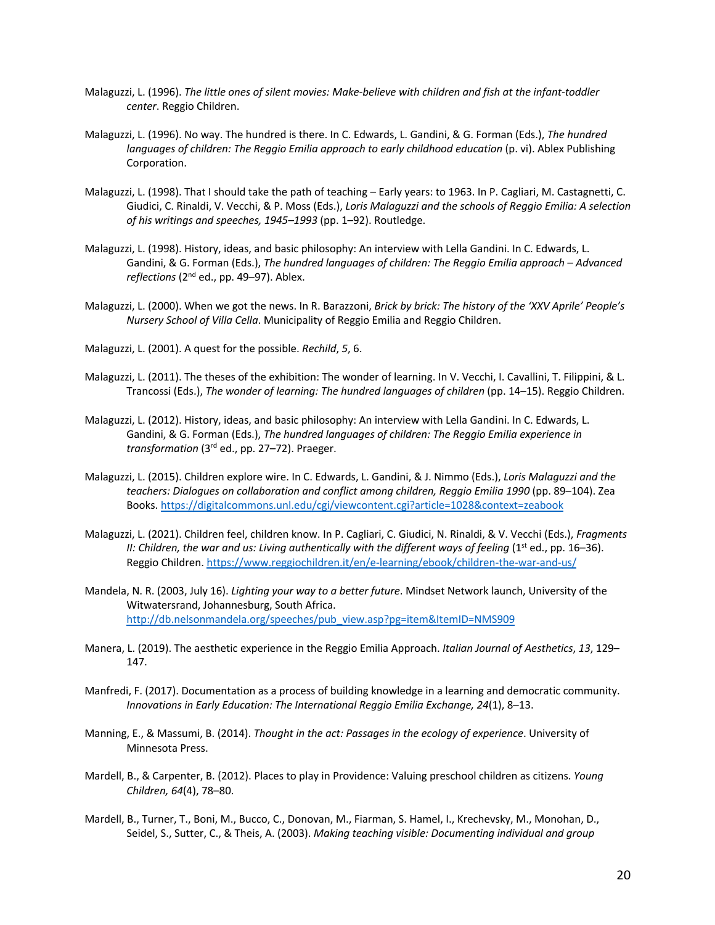- Malaguzzi, L. (1996). *The little ones of silent movies: Make-believe with children and fish at the infant-toddler center*. Reggio Children.
- Malaguzzi, L. (1996). No way. The hundred is there. In C. Edwards, L. Gandini, & G. Forman (Eds.), *The hundred languages of children: The Reggio Emilia approach to early childhood education* (p. vi). Ablex Publishing Corporation.
- Malaguzzi, L. (1998). That I should take the path of teaching Early years: to 1963. In P. Cagliari, M. Castagnetti, C. Giudici, C. Rinaldi, V. Vecchi, & P. Moss (Eds.), *Loris Malaguzzi and the schools of Reggio Emilia: A selection of his writings and speeches, 1945–1993* (pp. 1–92). Routledge.
- Malaguzzi, L. (1998). History, ideas, and basic philosophy: An interview with Lella Gandini. In C. Edwards, L. Gandini, & G. Forman (Eds.), *The hundred languages of children: The Reggio Emilia approach – Advanced reflections* (2nd ed., pp. 49–97). Ablex.
- Malaguzzi, L. (2000). When we got the news. In R. Barazzoni, *Brick by brick: The history of the 'XXV Aprile' People's Nursery School of Villa Cella*. Municipality of Reggio Emilia and Reggio Children.
- Malaguzzi, L. (2001). A quest for the possible. *Rechild*, *5*, 6.
- Malaguzzi, L. (2011). The theses of the exhibition: The wonder of learning. In V. Vecchi, I. Cavallini, T. Filippini, & L. Trancossi (Eds.), *The wonder of learning: The hundred languages of children* (pp. 14–15). Reggio Children.
- Malaguzzi, L. (2012). History, ideas, and basic philosophy: An interview with Lella Gandini. In C. Edwards, L. Gandini, & G. Forman (Eds.), *The hundred languages of children: The Reggio Emilia experience in transformation* (3rd ed., pp. 27–72). Praeger.
- Malaguzzi, L. (2015). Children explore wire. In C. Edwards, L. Gandini, & J. Nimmo (Eds.), *Loris Malaguzzi and the teachers: Dialogues on collaboration and conflict among children, Reggio Emilia 1990* (pp. 89–104). Zea Books. https://digitalcommons.unl.edu/cgi/viewcontent.cgi?article=1028&context=zeabook
- Malaguzzi, L. (2021). Children feel, children know. In P. Cagliari, C. Giudici, N. Rinaldi, & V. Vecchi (Eds.), *Fragments II: Children, the war and us: Living authentically with the different ways of feeling (1<sup>st</sup> ed., pp. 16–36).* Reggio Children. https://www.reggiochildren.it/en/e-learning/ebook/children-the-war-and-us/
- Mandela, N. R. (2003, July 16). *Lighting your way to a better future*. Mindset Network launch, University of the Witwatersrand, Johannesburg, South Africa. http://db.nelsonmandela.org/speeches/pub\_view.asp?pg=item&ItemID=NMS909
- Manera, L. (2019). The aesthetic experience in the Reggio Emilia Approach. *Italian Journal of Aesthetics*, *13*, 129– 147.
- Manfredi, F. (2017). Documentation as a process of building knowledge in a learning and democratic community. *Innovations in Early Education: The International Reggio Emilia Exchange, 24*(1), 8–13.
- Manning, E., & Massumi, B. (2014). *Thought in the act: Passages in the ecology of experience*. University of Minnesota Press.
- Mardell, B., & Carpenter, B. (2012). Places to play in Providence: Valuing preschool children as citizens. *Young Children, 64*(4), 78–80.
- Mardell, B., Turner, T., Boni, M., Bucco, C., Donovan, M., Fiarman, S. Hamel, I., Krechevsky, M., Monohan, D., Seidel, S., Sutter, C., & Theis, A. (2003). *Making teaching visible: Documenting individual and group*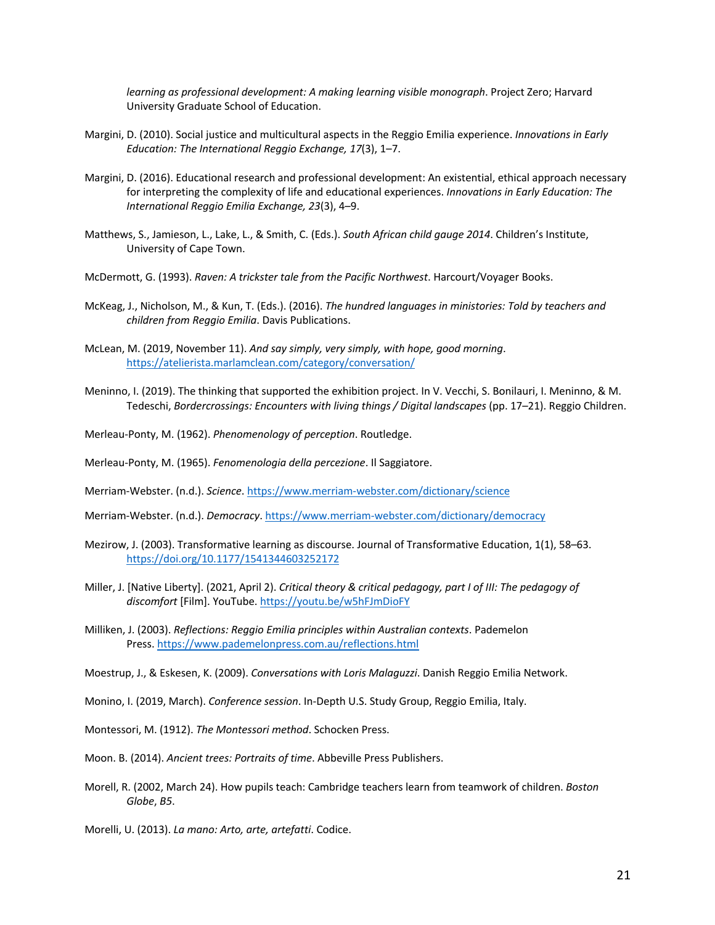*learning as professional development: A making learning visible monograph*. Project Zero; Harvard University Graduate School of Education.

- Margini, D. (2010). Social justice and multicultural aspects in the Reggio Emilia experience. *Innovations in Early Education: The International Reggio Exchange, 17*(3), 1–7.
- Margini, D. (2016). Educational research and professional development: An existential, ethical approach necessary for interpreting the complexity of life and educational experiences. *Innovations in Early Education: The International Reggio Emilia Exchange, 23*(3), 4–9.
- Matthews, S., Jamieson, L., Lake, L., & Smith, C. (Eds.). *South African child gauge 2014*. Children's Institute, University of Cape Town.
- McDermott, G. (1993). *Raven: A trickster tale from the Pacific Northwest*. Harcourt/Voyager Books.
- McKeag, J., Nicholson, M., & Kun, T. (Eds.). (2016). *The hundred languages in ministories: Told by teachers and children from Reggio Emilia*. Davis Publications.
- McLean, M. (2019, November 11). *And say simply, very simply, with hope, good morning*. https://atelierista.marlamclean.com/category/conversation/
- Meninno, I. (2019). The thinking that supported the exhibition project. In V. Vecchi, S. Bonilauri, I. Meninno, & M. Tedeschi, *Bordercrossings: Encounters with living things / Digital landscapes* (pp. 17–21). Reggio Children.

Merleau-Ponty, M. (1962). *Phenomenology of perception*. Routledge.

Merleau-Ponty, M. (1965). *Fenomenologia della percezione*. Il Saggiatore.

Merriam-Webster. (n.d.). *Science*. https://www.merriam-webster.com/dictionary/science

Merriam-Webster. (n.d.). *Democracy*. https://www.merriam-webster.com/dictionary/democracy

- Mezirow, J. (2003). Transformative learning as discourse. Journal of Transformative Education, 1(1), 58–63. https://doi.org/10.1177/1541344603252172
- Miller, J. [Native Liberty]. (2021, April 2). *Critical theory & critical pedagogy, part I of III: The pedagogy of discomfort* [Film]. YouTube. https://youtu.be/w5hFJmDioFY
- Milliken, J. (2003). *Reflections: Reggio Emilia principles within Australian contexts*. Pademelon Press. https://www.pademelonpress.com.au/reflections.html

Moestrup, J., & Eskesen, K. (2009). *Conversations with Loris Malaguzzi*. Danish Reggio Emilia Network.

Monino, I. (2019, March). *Conference session*. In-Depth U.S. Study Group, Reggio Emilia, Italy.

Montessori, M. (1912). *The Montessori method*. Schocken Press.

Moon. B. (2014). *Ancient trees: Portraits of time*. Abbeville Press Publishers.

Morell, R. (2002, March 24). How pupils teach: Cambridge teachers learn from teamwork of children. *Boston Globe*, *B5*.

Morelli, U. (2013). *La mano: Arto, arte, artefatti*. Codice.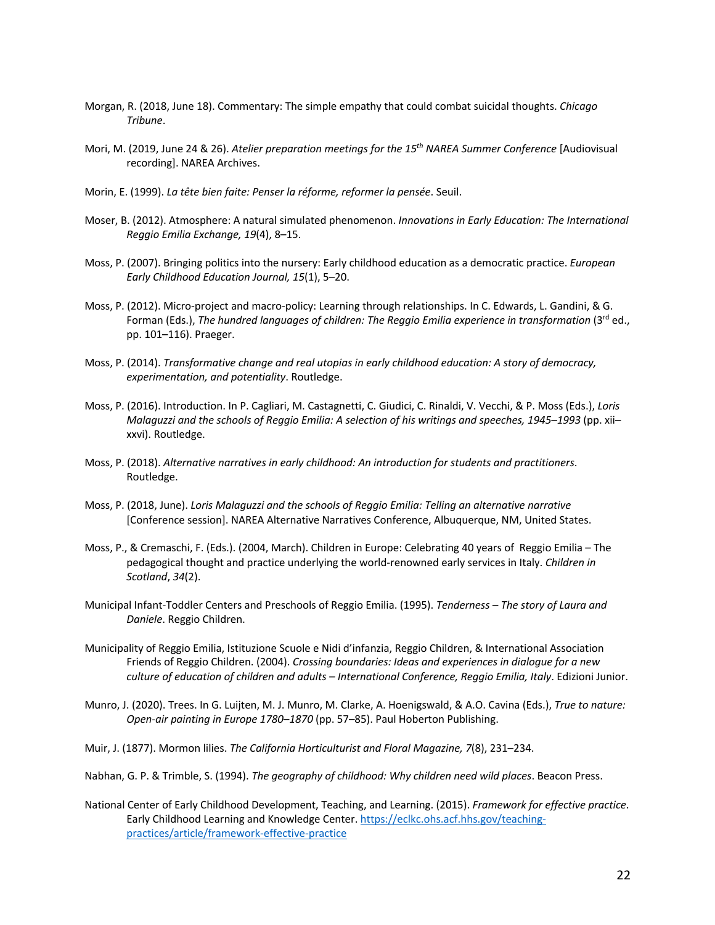- Morgan, R. (2018, June 18). Commentary: The simple empathy that could combat suicidal thoughts. *Chicago Tribune*.
- Mori, M. (2019, June 24 & 26). *Atelier preparation meetings for the 15th NAREA Summer Conference* [Audiovisual recording]. NAREA Archives.
- Morin, E. (1999). *La tête bien faite: Penser la réforme, reformer la pensée*. Seuil.
- Moser, B. (2012). Atmosphere: A natural simulated phenomenon. *Innovations in Early Education: The International Reggio Emilia Exchange, 19*(4), 8–15.
- Moss, P. (2007). Bringing politics into the nursery: Early childhood education as a democratic practice. *European Early Childhood Education Journal, 15*(1), 5–20.
- Moss, P. (2012). Micro-project and macro-policy: Learning through relationships. In C. Edwards, L. Gandini, & G. Forman (Eds.), *The hundred languages of children: The Reggio Emilia experience in transformation* (3rd ed., pp. 101–116). Praeger.
- Moss, P. (2014). *Transformative change and real utopias in early childhood education: A story of democracy, experimentation, and potentiality*. Routledge.
- Moss, P. (2016). Introduction. In P. Cagliari, M. Castagnetti, C. Giudici, C. Rinaldi, V. Vecchi, & P. Moss (Eds.), *Loris Malaguzzi and the schools of Reggio Emilia: A selection of his writings and speeches, 1945–1993* (pp. xii– xxvi). Routledge.
- Moss, P. (2018). *Alternative narratives in early childhood: An introduction for students and practitioners*. Routledge.
- Moss, P. (2018, June). *Loris Malaguzzi and the schools of Reggio Emilia: Telling an alternative narrative* [Conference session]. NAREA Alternative Narratives Conference, Albuquerque, NM, United States.
- Moss, P., & Cremaschi, F. (Eds.). (2004, March). Children in Europe: Celebrating 40 years of Reggio Emilia The pedagogical thought and practice underlying the world-renowned early services in Italy. *Children in Scotland*, *34*(2).
- Municipal Infant-Toddler Centers and Preschools of Reggio Emilia. (1995). *Tenderness – The story of Laura and Daniele*. Reggio Children.
- Municipality of Reggio Emilia, Istituzione Scuole e Nidi d'infanzia, Reggio Children, & International Association Friends of Reggio Children. (2004). *Crossing boundaries: Ideas and experiences in dialogue for a new culture of education of children and adults – International Conference, Reggio Emilia, Italy*. Edizioni Junior.
- Munro, J. (2020). Trees. In G. Luijten, M. J. Munro, M. Clarke, A. Hoenigswald, & A.O. Cavina (Eds.), *True to nature: Open-air painting in Europe 1780*–*1870* (pp. 57–85). Paul Hoberton Publishing.
- Muir, J. (1877). Mormon lilies. *The California Horticulturist and Floral Magazine, 7*(8), 231–234.
- Nabhan, G. P. & Trimble, S. (1994). *The geography of childhood: Why children need wild places*. Beacon Press.
- National Center of Early Childhood Development, Teaching, and Learning. (2015). *Framework for effective practice*. Early Childhood Learning and Knowledge Center. https://eclkc.ohs.acf.hhs.gov/teachingpractices/article/framework-effective-practice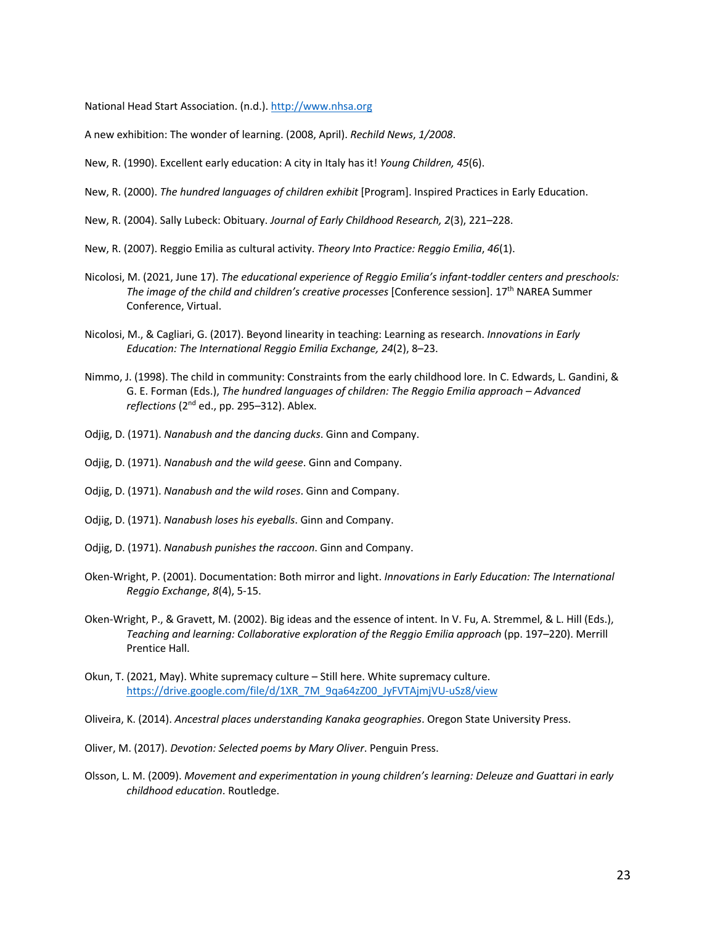National Head Start Association. (n.d.). http://www.nhsa.org

A new exhibition: The wonder of learning. (2008, April). *Rechild News*, *1/2008*.

New, R. (1990). Excellent early education: A city in Italy has it! *Young Children, 45*(6).

- New, R. (2000). *The hundred languages of children exhibit* [Program]. Inspired Practices in Early Education.
- New, R. (2004). Sally Lubeck: Obituary. *Journal of Early Childhood Research, 2*(3), 221–228.
- New, R. (2007). Reggio Emilia as cultural activity. *Theory Into Practice: Reggio Emilia*, *46*(1).
- Nicolosi, M. (2021, June 17). *The educational experience of Reggio Emilia's infant-toddler centers and preschools: The image of the child and children's creative processes* [Conference session]. 17th NAREA Summer Conference, Virtual.
- Nicolosi, M., & Cagliari, G. (2017). Beyond linearity in teaching: Learning as research. *Innovations in Early Education: The International Reggio Emilia Exchange, 24*(2), 8–23.
- Nimmo, J. (1998). The child in community: Constraints from the early childhood lore. In C. Edwards, L. Gandini, & G. E. Forman (Eds.), *The hundred languages of children: The Reggio Emilia approach – Advanced*  reflections (2<sup>nd</sup> ed., pp. 295-312). Ablex.
- Odjig, D. (1971). *Nanabush and the dancing ducks*. Ginn and Company.
- Odjig, D. (1971). *Nanabush and the wild geese*. Ginn and Company.
- Odjig, D. (1971). *Nanabush and the wild roses*. Ginn and Company.
- Odjig, D. (1971). *Nanabush loses his eyeballs*. Ginn and Company.
- Odjig, D. (1971). *Nanabush punishes the raccoon*. Ginn and Company.
- Oken-Wright, P. (2001). Documentation: Both mirror and light. *Innovations in Early Education: The International Reggio Exchange*, *8*(4), 5-15.
- Oken-Wright, P., & Gravett, M. (2002). Big ideas and the essence of intent. In V. Fu, A. Stremmel, & L. Hill (Eds.), *Teaching and learning: Collaborative exploration of the Reggio Emilia approach* (pp. 197–220). Merrill Prentice Hall.
- Okun, T. (2021, May). White supremacy culture Still here. White supremacy culture. https://drive.google.com/file/d/1XR\_7M\_9qa64zZ00\_JyFVTAjmjVU-uSz8/view

Oliveira, K. (2014). *Ancestral places understanding Kanaka geographies*. Oregon State University Press.

- Oliver, M. (2017). *Devotion: Selected poems by Mary Oliver*. Penguin Press.
- Olsson, L. M. (2009). *Movement and experimentation in young children's learning: Deleuze and Guattari in early childhood education*. Routledge.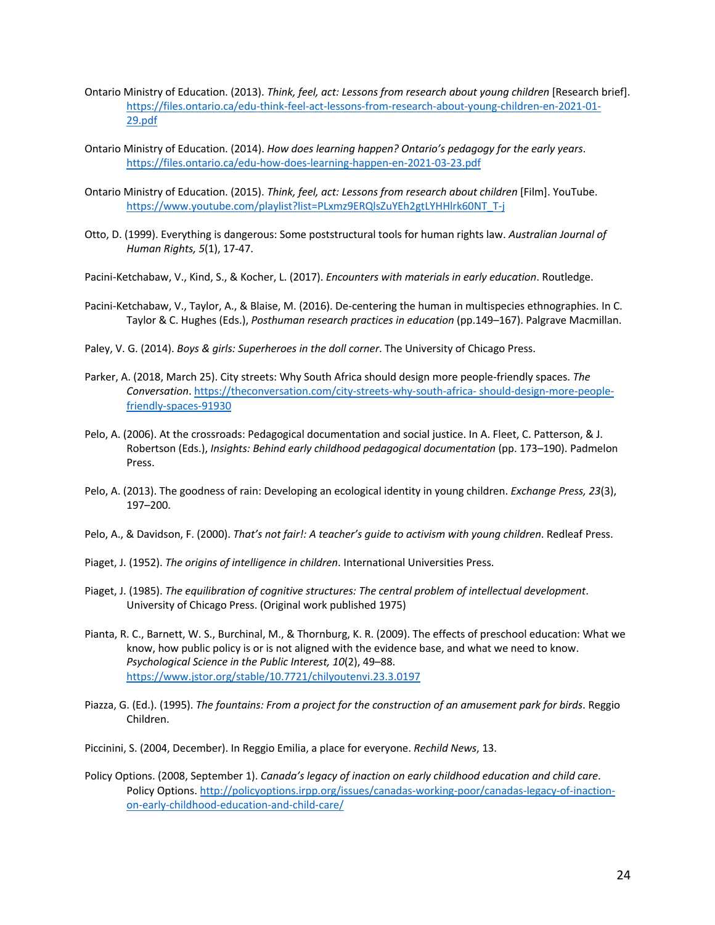- Ontario Ministry of Education. (2013). *Think, feel, act: Lessons from research about young children* [Research brief]. https://files.ontario.ca/edu-think-feel-act-lessons-from-research-about-young-children-en-2021-01- 29.pdf
- Ontario Ministry of Education. (2014). *How does learning happen? Ontario's pedagogy for the early years*. https://files.ontario.ca/edu-how-does-learning-happen-en-2021-03-23.pdf
- Ontario Ministry of Education. (2015). *Think, feel, act: Lessons from research about children* [Film]. YouTube. https://www.youtube.com/playlist?list=PLxmz9ERQlsZuYEh2gtLYHHlrk60NT\_T-j
- Otto, D. (1999). Everything is dangerous: Some poststructural tools for human rights law. *Australian Journal of Human Rights, 5*(1), 17-47.
- Pacini-Ketchabaw, V., Kind, S., & Kocher, L. (2017). *Encounters with materials in early education*. Routledge.
- Pacini-Ketchabaw, V., Taylor, A., & Blaise, M. (2016). De-centering the human in multispecies ethnographies. In C. Taylor & C. Hughes (Eds.), *Posthuman research practices in education* (pp.149–167). Palgrave Macmillan.
- Paley, V. G. (2014). *Boys & girls: Superheroes in the doll corner*. The University of Chicago Press.
- Parker, A. (2018, March 25). City streets: Why South Africa should design more people-friendly spaces. *The Conversation*. https://theconversation.com/city-streets-why-south-africa- should-design-more-peoplefriendly-spaces-91930
- Pelo, A. (2006). At the crossroads: Pedagogical documentation and social justice. In A. Fleet, C. Patterson, & J. Robertson (Eds.), *Insights: Behind early childhood pedagogical documentation* (pp. 173–190). Padmelon Press.
- Pelo, A. (2013). The goodness of rain: Developing an ecological identity in young children. *Exchange Press, 23*(3), 197–200.
- Pelo, A., & Davidson, F. (2000). *That's not fair!: A teacher's guide to activism with young children*. Redleaf Press.
- Piaget, J. (1952). *The origins of intelligence in children*. International Universities Press.
- Piaget, J. (1985). *The equilibration of cognitive structures: The central problem of intellectual development*. University of Chicago Press. (Original work published 1975)
- Pianta, R. C., Barnett, W. S., Burchinal, M., & Thornburg, K. R. (2009). The effects of preschool education: What we know, how public policy is or is not aligned with the evidence base, and what we need to know. *Psychological Science in the Public Interest, 10*(2), 49–88. https://www.jstor.org/stable/10.7721/chilyoutenvi.23.3.0197
- Piazza, G. (Ed.). (1995). *The fountains: From a project for the construction of an amusement park for birds*. Reggio Children.
- Piccinini, S. (2004, December). In Reggio Emilia, a place for everyone. *Rechild News*, 13.
- Policy Options. (2008, September 1). *Canada's legacy of inaction on early childhood education and child care*. Policy Options. http://policyoptions.irpp.org/issues/canadas-working-poor/canadas-legacy-of-inactionon-early-childhood-education-and-child-care/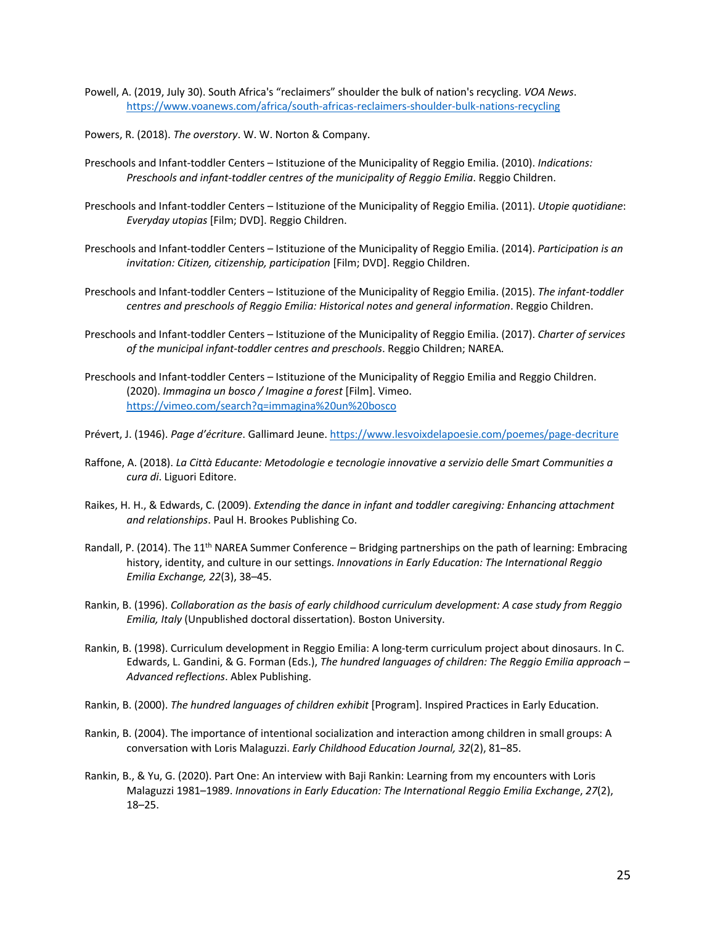- Powell, A. (2019, July 30). South Africa's "reclaimers" shoulder the bulk of nation's recycling. *VOA News*. https://www.voanews.com/africa/south-africas-reclaimers-shoulder-bulk-nations-recycling
- Powers, R. (2018). *The overstory*. W. W. Norton & Company.
- Preschools and Infant-toddler Centers Istituzione of the Municipality of Reggio Emilia. (2010). *Indications: Preschools and infant-toddler centres of the municipality of Reggio Emilia*. Reggio Children.
- Preschools and Infant-toddler Centers Istituzione of the Municipality of Reggio Emilia. (2011). *Utopie quotidiane*: *Everyday utopias* [Film; DVD]. Reggio Children.
- Preschools and Infant-toddler Centers Istituzione of the Municipality of Reggio Emilia. (2014). *Participation is an invitation: Citizen, citizenship, participation* [Film; DVD]. Reggio Children.
- Preschools and Infant-toddler Centers Istituzione of the Municipality of Reggio Emilia. (2015). *The infant-toddler centres and preschools of Reggio Emilia: Historical notes and general information*. Reggio Children.
- Preschools and Infant-toddler Centers Istituzione of the Municipality of Reggio Emilia. (2017). *Charter of services of the municipal infant-toddler centres and preschools*. Reggio Children; NAREA.
- Preschools and Infant-toddler Centers Istituzione of the Municipality of Reggio Emilia and Reggio Children. (2020). *Immagina un bosco / Imagine a forest* [Film]. Vimeo. https://vimeo.com/search?q=immagina%20un%20bosco
- Prévert, J. (1946). *Page d'écriture*. Gallimard Jeune. https://www.lesvoixdelapoesie.com/poemes/page-decriture
- Raffone, A. (2018). *La Città Educante: Metodologie e tecnologie innovative a servizio delle Smart Communities a cura di*. Liguori Editore.
- Raikes, H. H., & Edwards, C. (2009). *Extending the dance in infant and toddler caregiving: Enhancing attachment and relationships*. Paul H. Brookes Publishing Co.
- Randall, P. (2014). The 11<sup>th</sup> NAREA Summer Conference Bridging partnerships on the path of learning: Embracing history, identity, and culture in our settings. *Innovations in Early Education: The International Reggio Emilia Exchange, 22*(3), 38–45.
- Rankin, B. (1996). *Collaboration as the basis of early childhood curriculum development: A case study from Reggio Emilia, Italy* (Unpublished doctoral dissertation). Boston University.
- Rankin, B. (1998). Curriculum development in Reggio Emilia: A long-term curriculum project about dinosaurs. In C. Edwards, L. Gandini, & G. Forman (Eds.), *The hundred languages of children: The Reggio Emilia approach – Advanced reflections*. Ablex Publishing.
- Rankin, B. (2000). *The hundred languages of children exhibit* [Program]. Inspired Practices in Early Education.
- Rankin, B. (2004). The importance of intentional socialization and interaction among children in small groups: A conversation with Loris Malaguzzi. *Early Childhood Education Journal, 32*(2), 81–85.
- Rankin, B., & Yu, G. (2020). Part One: An interview with Baji Rankin: Learning from my encounters with Loris Malaguzzi 1981–1989. *Innovations in Early Education: The International Reggio Emilia Exchange*, *27*(2), 18–25.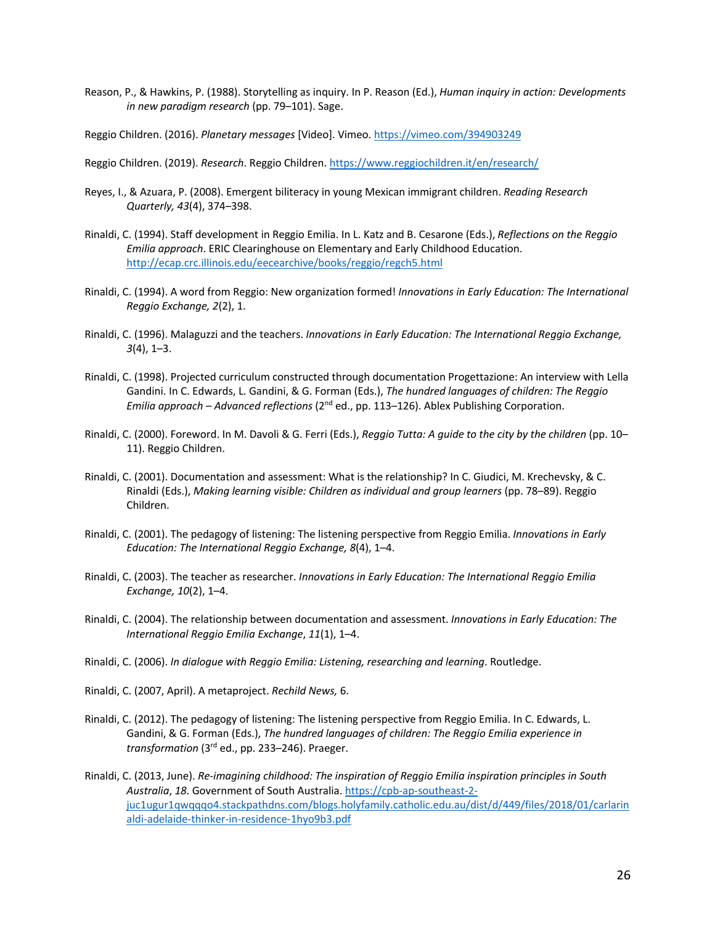- Reason, P., & Hawkins, P. (1988). Storytelling as inquiry. In P. Reason (Ed.), *Human inquiry in action: Developments in new paradigm research* (pp. 79–101). Sage.
- Reggio Children. (2016). *Planetary messages* [Video]. Vimeo. https://vimeo.com/394903249
- Reggio Children. (2019). *Research*. Reggio Children. https://www.reggiochildren.it/en/research/
- Reyes, I., & Azuara, P. (2008). Emergent biliteracy in young Mexican immigrant children. *Reading Research Quarterly, 43*(4), 374–398.
- Rinaldi, C. (1994). Staff development in Reggio Emilia. In L. Katz and B. Cesarone (Eds.), *Reflections on the Reggio Emilia approach*. ERIC Clearinghouse on Elementary and Early Childhood Education. http://ecap.crc.illinois.edu/eecearchive/books/reggio/regch5.html
- Rinaldi, C. (1994). A word from Reggio: New organization formed! *Innovations in Early Education: The International Reggio Exchange, 2*(2), 1.
- Rinaldi, C. (1996). Malaguzzi and the teachers. *Innovations in Early Education: The International Reggio Exchange, 3*(4), 1–3.
- Rinaldi, C. (1998). Projected curriculum constructed through documentation Progettazione: An interview with Lella Gandini. In C. Edwards, L. Gandini, & G. Forman (Eds.), *The hundred languages of children: The Reggio Emilia approach – Advanced reflections* (2<sup>nd</sup> ed., pp. 113–126). Ablex Publishing Corporation.
- Rinaldi, C. (2000). Foreword. In M. Davoli & G. Ferri (Eds.), *Reggio Tutta: A guide to the city by the children* (pp. 10– 11). Reggio Children.
- Rinaldi, C. (2001). Documentation and assessment: What is the relationship? In C. Giudici, M. Krechevsky, & C. Rinaldi (Eds.), *Making learning visible: Children as individual and group learners* (pp. 78–89). Reggio Children.
- Rinaldi, C. (2001). The pedagogy of listening: The listening perspective from Reggio Emilia. *Innovations in Early Education: The International Reggio Exchange, 8*(4), 1–4.
- Rinaldi, C. (2003). The teacher as researcher. *Innovations in Early Education: The International Reggio Emilia Exchange, 10*(2), 1–4.
- Rinaldi, C. (2004). The relationship between documentation and assessment. *Innovations in Early Education: The International Reggio Emilia Exchange*, *11*(1), 1–4.
- Rinaldi, C. (2006). *In dialogue with Reggio Emilia: Listening, researching and learning*. Routledge.
- Rinaldi, C. (2007, April). A metaproject. *Rechild News,* 6.
- Rinaldi, C. (2012). The pedagogy of listening: The listening perspective from Reggio Emilia. In C. Edwards, L. Gandini, & G. Forman (Eds.), *The hundred languages of children: The Reggio Emilia experience in transformation* (3rd ed., pp. 233–246). Praeger.
- Rinaldi, C. (2013, June). *Re-imagining childhood: The inspiration of Reggio Emilia inspiration principles in South Australia*, *18*. Government of South Australia. https://cpb-ap-southeast-2 juc1ugur1qwqqqo4.stackpathdns.com/blogs.holyfamily.catholic.edu.au/dist/d/449/files/2018/01/carlarin aldi-adelaide-thinker-in-residence-1hyo9b3.pdf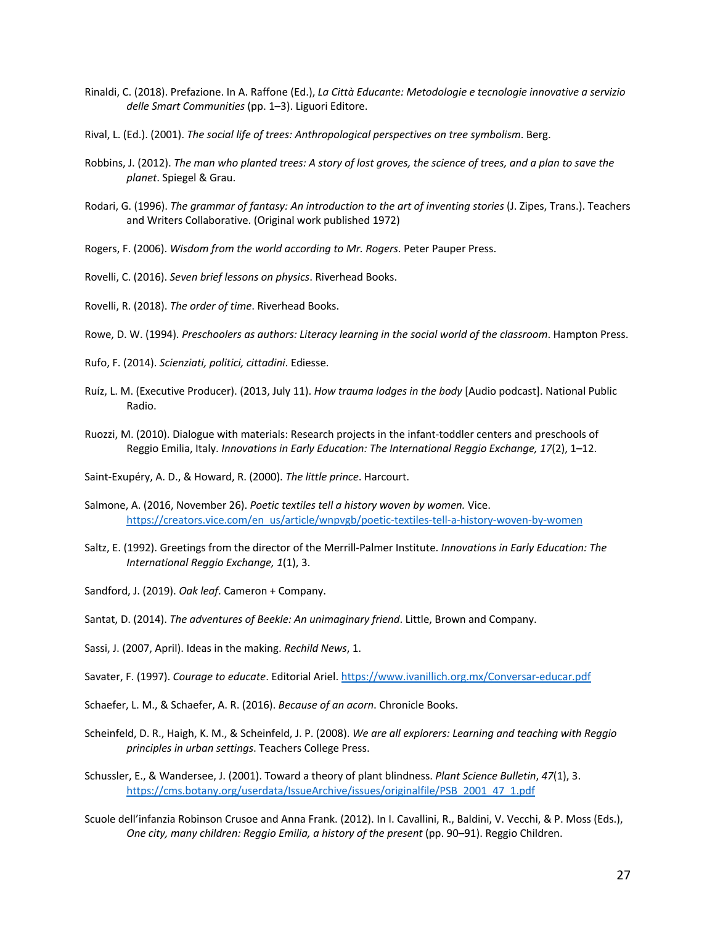- Rinaldi, C. (2018). Prefazione. In A. Raffone (Ed.), *La Città Educante: Metodologie e tecnologie innovative a servizio delle Smart Communities* (pp. 1–3). Liguori Editore.
- Rival, L. (Ed.). (2001). *The social life of trees: Anthropological perspectives on tree symbolism*. Berg.
- Robbins, J. (2012). *The man who planted trees: A story of lost groves, the science of trees, and a plan to save the planet*. Spiegel & Grau.
- Rodari, G. (1996). *The grammar of fantasy: An introduction to the art of inventing stories* (J. Zipes, Trans.). Teachers and Writers Collaborative. (Original work published 1972)

Rogers, F. (2006). *Wisdom from the world according to Mr. Rogers*. Peter Pauper Press.

Rovelli, C. (2016). *Seven brief lessons on physics*. Riverhead Books.

Rovelli, R. (2018). *The order of time*. Riverhead Books.

Rowe, D. W. (1994). *Preschoolers as authors: Literacy learning in the social world of the classroom*. Hampton Press.

- Rufo, F. (2014). *Scienziati, politici, cittadini*. Ediesse.
- Ruíz, L. M. (Executive Producer). (2013, July 11). *How trauma lodges in the body* [Audio podcast]. National Public Radio.
- Ruozzi, M. (2010). Dialogue with materials: Research projects in the infant-toddler centers and preschools of Reggio Emilia, Italy. *Innovations in Early Education: The International Reggio Exchange, 17*(2), 1–12.

Saint-Exupéry, A. D., & Howard, R. (2000). *The little prince*. Harcourt.

- Salmone, A. (2016, November 26). *Poetic textiles tell a history woven by women.* Vice. https://creators.vice.com/en\_us/article/wnpvgb/poetic-textiles-tell-a-history-woven-by-women
- Saltz, E. (1992). Greetings from the director of the Merrill-Palmer Institute. *Innovations in Early Education: The International Reggio Exchange, 1*(1), 3.

Sandford, J. (2019). *Oak leaf*. Cameron + Company.

Santat, D. (2014). *The adventures of Beekle: An unimaginary friend*. Little, Brown and Company.

Sassi, J. (2007, April). Ideas in the making. *Rechild News*, 1.

Savater, F. (1997). *Courage to educate*. Editorial Ariel. https://www.ivanillich.org.mx/Conversar-educar.pdf

- Schaefer, L. M., & Schaefer, A. R. (2016). *Because of an acorn*. Chronicle Books.
- Scheinfeld, D. R., Haigh, K. M., & Scheinfeld, J. P. (2008). *We are all explorers: Learning and teaching with Reggio principles in urban settings*. Teachers College Press.
- Schussler, E., & Wandersee, J. (2001). Toward a theory of plant blindness. *Plant Science Bulletin*, *47*(1), 3. https://cms.botany.org/userdata/IssueArchive/issues/originalfile/PSB\_2001\_47\_1.pdf

Scuole dell'infanzia Robinson Crusoe and Anna Frank. (2012). In I. Cavallini, R., Baldini, V. Vecchi, & P. Moss (Eds.), *One city, many children: Reggio Emilia, a history of the present* (pp. 90–91). Reggio Children.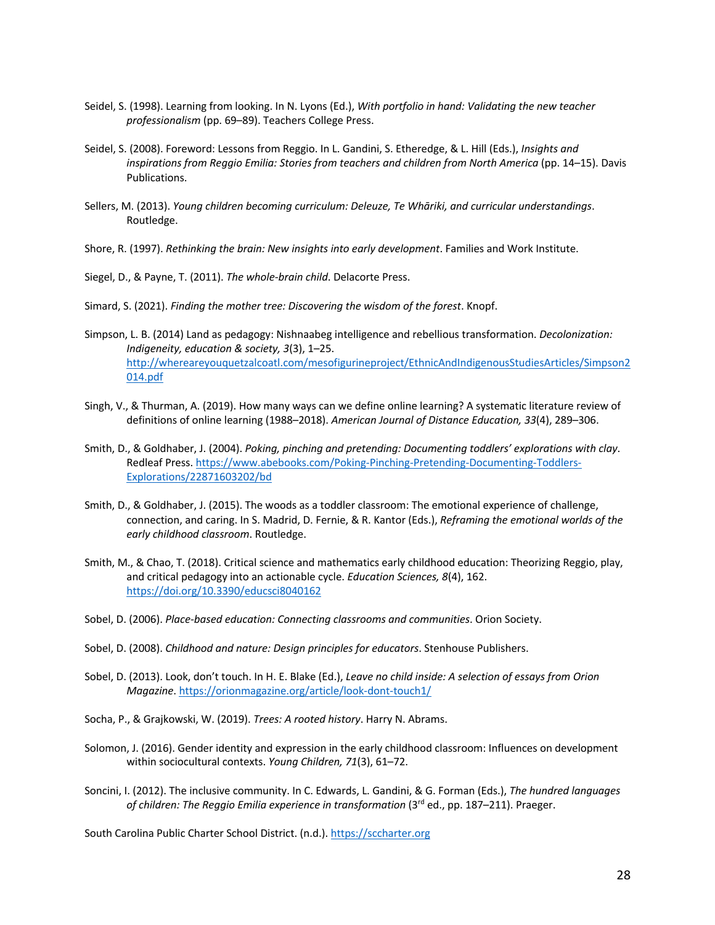- Seidel, S. (1998). Learning from looking. In N. Lyons (Ed.), *With portfolio in hand: Validating the new teacher professionalism* (pp. 69–89). Teachers College Press.
- Seidel, S. (2008). Foreword: Lessons from Reggio. In L. Gandini, S. Etheredge, & L. Hill (Eds.), *Insights and inspirations from Reggio Emilia: Stories from teachers and children from North America* (pp. 14–15). Davis Publications.
- Sellers, M. (2013). *Young children becoming curriculum: Deleuze, Te Whāriki, and curricular understandings*. Routledge.
- Shore, R. (1997). *Rethinking the brain: New insights into early development*. Families and Work Institute.

Siegel, D., & Payne, T. (2011). *The whole-brain child*. Delacorte Press.

Simard, S. (2021). *Finding the mother tree: Discovering the wisdom of the forest*. Knopf.

- Simpson, L. B. (2014) Land as pedagogy: Nishnaabeg intelligence and rebellious transformation. *Decolonization: Indigeneity, education & society, 3*(3), 1–25. http://whereareyouquetzalcoatl.com/mesofigurineproject/EthnicAndIndigenousStudiesArticles/Simpson2 014.pdf
- Singh, V., & Thurman, A. (2019). How many ways can we define online learning? A systematic literature review of definitions of online learning (1988–2018). *American Journal of Distance Education, 33*(4), 289–306.
- Smith, D., & Goldhaber, J. (2004). *Poking, pinching and pretending: Documenting toddlers' explorations with clay*. Redleaf Press. https://www.abebooks.com/Poking-Pinching-Pretending-Documenting-Toddlers-Explorations/22871603202/bd
- Smith, D., & Goldhaber, J. (2015). The woods as a toddler classroom: The emotional experience of challenge, connection, and caring. In S. Madrid, D. Fernie, & R. Kantor (Eds.), *Reframing the emotional worlds of the early childhood classroom*. Routledge.
- Smith, M., & Chao, T. (2018). Critical science and mathematics early childhood education: Theorizing Reggio, play, and critical pedagogy into an actionable cycle. *Education Sciences, 8*(4), 162. https://doi.org/10.3390/educsci8040162
- Sobel, D. (2006). *Place-based education: Connecting classrooms and communities*. Orion Society.
- Sobel, D. (2008). *Childhood and nature: Design principles for educators*. Stenhouse Publishers.
- Sobel, D. (2013). Look, don't touch. In H. E. Blake (Ed.), *Leave no child inside: A selection of essays from Orion Magazine*. https://orionmagazine.org/article/look-dont-touch1/
- Socha, P., & Grajkowski, W. (2019). *Trees: A rooted history*. Harry N. Abrams.
- Solomon, J. (2016). Gender identity and expression in the early childhood classroom: Influences on development within sociocultural contexts. *Young Children, 71*(3), 61–72.
- Soncini, I. (2012). The inclusive community. In C. Edwards, L. Gandini, & G. Forman (Eds.), *The hundred languages of children: The Reggio Emilia experience in transformation* (3rd ed., pp. 187–211). Praeger.

South Carolina Public Charter School District. (n.d.). https://sccharter.org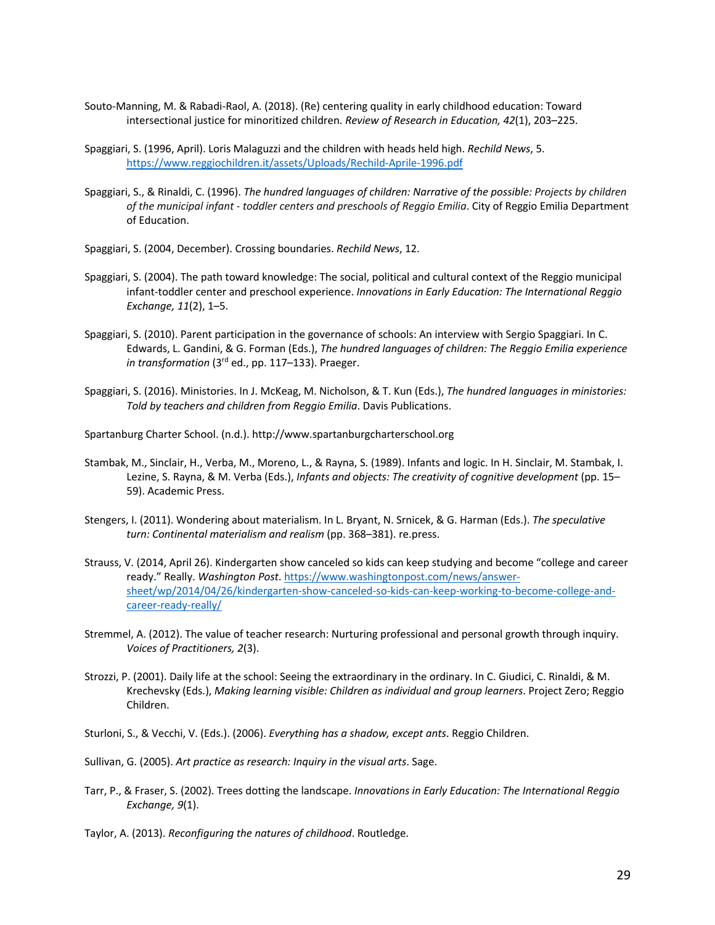- Souto-Manning, M. & Rabadi-Raol, A. (2018). (Re) centering quality in early childhood education: Toward intersectional justice for minoritized children. *Review of Research in Education, 42*(1), 203–225.
- Spaggiari, S. (1996, April). Loris Malaguzzi and the children with heads held high. *Rechild News*, 5. https://www.reggiochildren.it/assets/Uploads/Rechild-Aprile-1996.pdf
- Spaggiari, S., & Rinaldi, C. (1996). *The hundred languages of children: Narrative of the possible: Projects by children of the municipal infant - toddler centers and preschools of Reggio Emilia*. City of Reggio Emilia Department of Education.
- Spaggiari, S. (2004, December). Crossing boundaries. *Rechild News*, 12.
- Spaggiari, S. (2004). The path toward knowledge: The social, political and cultural context of the Reggio municipal infant-toddler center and preschool experience. *Innovations in Early Education: The International Reggio Exchange, 11*(2), 1–5.
- Spaggiari, S. (2010). Parent participation in the governance of schools: An interview with Sergio Spaggiari. In C. Edwards, L. Gandini, & G. Forman (Eds.), *The hundred languages of children: The Reggio Emilia experience in transformation* (3<sup>rd</sup> ed., pp. 117–133). Praeger.
- Spaggiari, S. (2016). Ministories. In J. McKeag, M. Nicholson, & T. Kun (Eds.), *The hundred languages in ministories: Told by teachers and children from Reggio Emilia*. Davis Publications.
- Spartanburg Charter School. (n.d.). http://www.spartanburgcharterschool.org
- Stambak, M., Sinclair, H., Verba, M., Moreno, L., & Rayna, S. (1989). Infants and logic. In H. Sinclair, M. Stambak, I. Lezine, S. Rayna, & M. Verba (Eds.), *Infants and objects: The creativity of cognitive development* (pp. 15– 59). Academic Press.
- Stengers, I. (2011). Wondering about materialism. In L. Bryant, N. Srnicek, & G. Harman (Eds.). *The speculative turn: Continental materialism and realism* (pp. 368–381). re.press.
- Strauss, V. (2014, April 26). Kindergarten show canceled so kids can keep studying and become "college and career ready." Really. *Washington Post*. https://www.washingtonpost.com/news/answersheet/wp/2014/04/26/kindergarten-show-canceled-so-kids-can-keep-working-to-become-college-andcareer-ready-really/
- Stremmel, A. (2012). The value of teacher research: Nurturing professional and personal growth through inquiry. *Voices of Practitioners, 2*(3).
- Strozzi, P. (2001). Daily life at the school: Seeing the extraordinary in the ordinary. In C. Giudici, C. Rinaldi, & M. Krechevsky (Eds.), *Making learning visible: Children as individual and group learners*. Project Zero; Reggio Children.
- Sturloni, S., & Vecchi, V. (Eds.). (2006). *Everything has a shadow, except ants*. Reggio Children.
- Sullivan, G. (2005). *Art practice as research: Inquiry in the visual arts*. Sage.
- Tarr, P., & Fraser, S. (2002). Trees dotting the landscape. *Innovations in Early Education: The International Reggio Exchange, 9*(1).
- Taylor, A. (2013). *Reconfiguring the natures of childhood*. Routledge.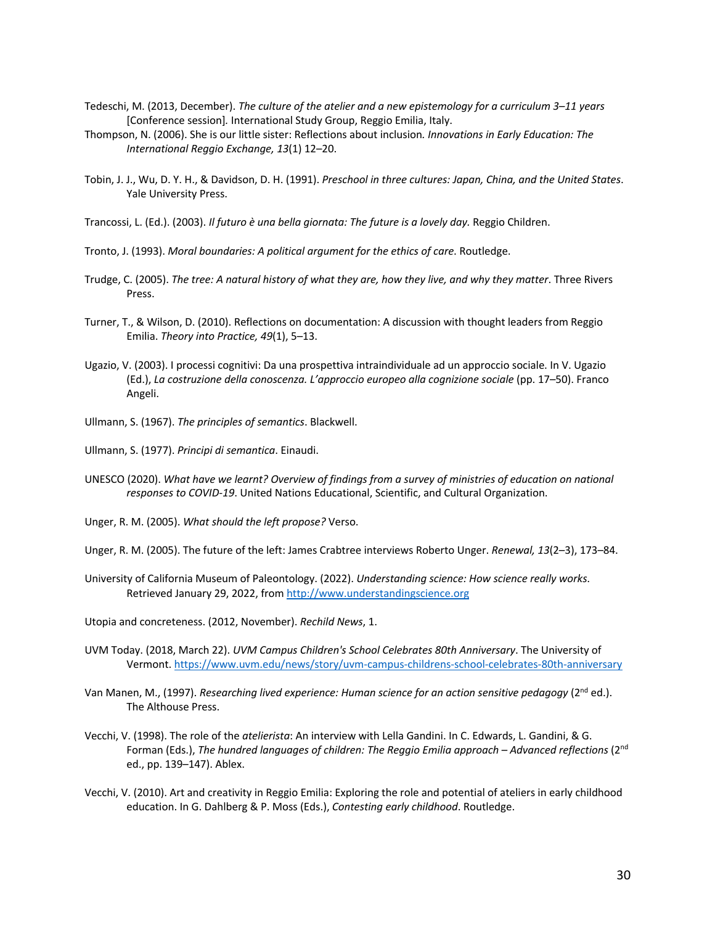- Tedeschi, M. (2013, December). *The culture of the atelier and a new epistemology for a curriculum 3–11 years* [Conference session]*.* International Study Group, Reggio Emilia, Italy.
- Thompson, N. (2006). She is our little sister: Reflections about inclusion*. Innovations in Early Education: The International Reggio Exchange, 13*(1) 12–20.
- Tobin, J. J., Wu, D. Y. H., & Davidson, D. H. (1991). *Preschool in three cultures: Japan, China, and the United States*. Yale University Press.
- Trancossi, L. (Ed.). (2003). *Il futuro è una bella giornata: The future is a lovely day.* Reggio Children.
- Tronto, J. (1993). *Moral boundaries: A political argument for the ethics of care*. Routledge.
- Trudge, C. (2005). *The tree: A natural history of what they are, how they live, and why they matter*. Three Rivers Press.
- Turner, T., & Wilson, D. (2010). Reflections on documentation: A discussion with thought leaders from Reggio Emilia. *Theory into Practice, 49*(1), 5–13.
- Ugazio, V. (2003). I processi cognitivi: Da una prospettiva intraindividuale ad un approccio sociale. In V. Ugazio (Ed.), *La costruzione della conoscenza. L'approccio europeo alla cognizione sociale* (pp. 17–50). Franco Angeli.
- Ullmann, S. (1967). *The principles of semantics*. Blackwell.

Ullmann, S. (1977). *Principi di semantica*. Einaudi.

- UNESCO (2020). *What have we learnt? Overview of findings from a survey of ministries of education on national responses to COVID-19*. United Nations Educational, Scientific, and Cultural Organization.
- Unger, R. M. (2005). *What should the left propose?* Verso.

Unger, R. M. (2005). The future of the left: James Crabtree interviews Roberto Unger. *Renewal, 13*(2–3), 173–84.

- University of California Museum of Paleontology. (2022). *Understanding science: How science really works*. Retrieved January 29, 2022, from http://www.understandingscience.org
- Utopia and concreteness. (2012, November). *Rechild News*, 1.
- UVM Today. (2018, March 22). *UVM Campus Children's School Celebrates 80th Anniversary*. The University of Vermont. https://www.uvm.edu/news/story/uvm-campus-childrens-school-celebrates-80th-anniversary
- Van Manen, M., (1997). *Researching lived experience: Human science for an action sensitive pedagogy* (2<sup>nd</sup> ed.). The Althouse Press.
- Vecchi, V. (1998). The role of the *atelierista*: An interview with Lella Gandini. In C. Edwards, L. Gandini, & G. Forman (Eds.), *The hundred languages of children: The Reggio Emilia approach – Advanced reflections* (2nd ed., pp. 139–147). Ablex.
- Vecchi, V. (2010). Art and creativity in Reggio Emilia: Exploring the role and potential of ateliers in early childhood education. In G. Dahlberg & P. Moss (Eds.), *Contesting early childhood*. Routledge.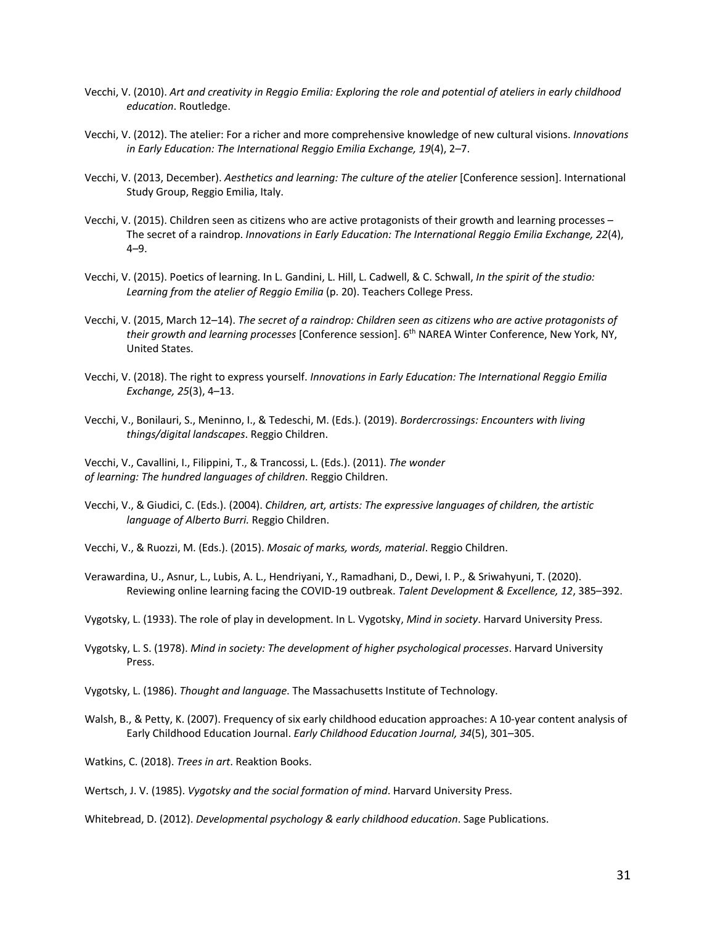- Vecchi, V. (2010). *Art and creativity in Reggio Emilia: Exploring the role and potential of ateliers in early childhood education*. Routledge.
- Vecchi, V. (2012). The atelier: For a richer and more comprehensive knowledge of new cultural visions. *Innovations in Early Education: The International Reggio Emilia Exchange, 19*(4), 2–7.
- Vecchi, V. (2013, December). *Aesthetics and learning: The culture of the atelier* [Conference session]. International Study Group, Reggio Emilia, Italy.
- Vecchi, V. (2015). Children seen as citizens who are active protagonists of their growth and learning processes The secret of a raindrop. *Innovations in Early Education: The International Reggio Emilia Exchange, 22*(4), 4–9.
- Vecchi, V. (2015). Poetics of learning. In L. Gandini, L. Hill, L. Cadwell, & C. Schwall, *In the spirit of the studio: Learning from the atelier of Reggio Emilia* (p. 20). Teachers College Press.
- Vecchi, V. (2015, March 12–14). *The secret of a raindrop: Children seen as citizens who are active protagonists of their growth and learning processes* [Conference session]. 6th NAREA Winter Conference, New York, NY, United States.
- Vecchi, V. (2018). The right to express yourself. *Innovations in Early Education: The International Reggio Emilia Exchange, 25*(3), 4–13.
- Vecchi, V., Bonilauri, S., Meninno, I., & Tedeschi, M. (Eds.). (2019). *Bordercrossings: Encounters with living things/digital landscapes*. Reggio Children.

Vecchi, V., Cavallini, I., Filippini, T., & Trancossi, L. (Eds.). (2011). *The wonder of learning: The hundred languages of children*. Reggio Children.

- Vecchi, V., & Giudici, C. (Eds.). (2004). *Children, art, artists: The expressive languages of children, the artistic language of Alberto Burri.* Reggio Children.
- Vecchi, V., & Ruozzi, M. (Eds.). (2015). *Mosaic of marks, words, material*. Reggio Children.
- Verawardina, U., Asnur, L., Lubis, A. L., Hendriyani, Y., Ramadhani, D., Dewi, I. P., & Sriwahyuni, T. (2020). Reviewing online learning facing the COVID-19 outbreak. *Talent Development & Excellence, 12*, 385–392.
- Vygotsky, L. (1933). The role of play in development. In L. Vygotsky, *Mind in society*. Harvard University Press.
- Vygotsky, L. S. (1978). *Mind in society: The development of higher psychological processes*. Harvard University Press.
- Vygotsky, L. (1986). *Thought and language*. The Massachusetts Institute of Technology.
- Walsh, B., & Petty, K. (2007). Frequency of six early childhood education approaches: A 10-year content analysis of Early Childhood Education Journal. *Early Childhood Education Journal, 34*(5), 301–305.

Watkins, C. (2018). *Trees in art*. Reaktion Books.

Wertsch, J. V. (1985). *Vygotsky and the social formation of mind*. Harvard University Press.

Whitebread, D. (2012). *Developmental psychology & early childhood education*. Sage Publications.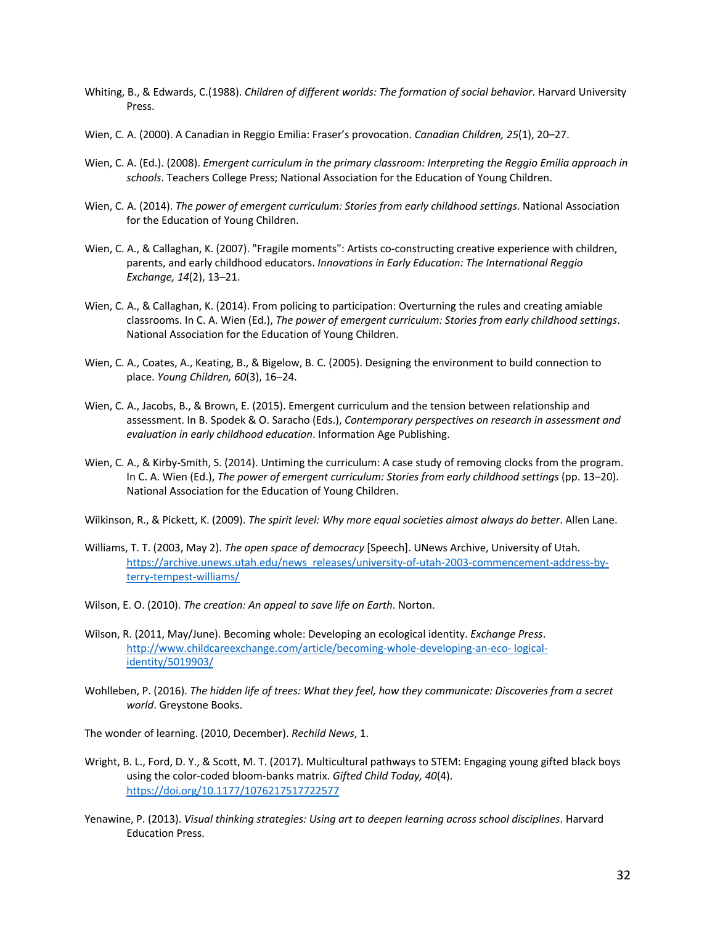- Whiting, B., & Edwards, C.(1988). *Children of different worlds: The formation of social behavior*. Harvard University Press.
- Wien, C. A. (2000). A Canadian in Reggio Emilia: Fraser's provocation. *Canadian Children, 25*(1), 20–27.
- Wien, C. A. (Ed.). (2008). *Emergent curriculum in the primary classroom: Interpreting the Reggio Emilia approach in schools*. Teachers College Press; National Association for the Education of Young Children.
- Wien, C. A. (2014). *The power of emergent curriculum: Stories from early childhood settings*. National Association for the Education of Young Children.
- Wien, C. A., & Callaghan, K. (2007). "Fragile moments": Artists co-constructing creative experience with children, parents, and early childhood educators. *Innovations in Early Education: The International Reggio Exchange, 14*(2), 13–21.
- Wien, C. A., & Callaghan, K. (2014). From policing to participation: Overturning the rules and creating amiable classrooms. In C. A. Wien (Ed.), *The power of emergent curriculum: Stories from early childhood settings*. National Association for the Education of Young Children.
- Wien, C. A., Coates, A., Keating, B., & Bigelow, B. C. (2005). Designing the environment to build connection to place. *Young Children, 60*(3), 16–24.
- Wien, C. A., Jacobs, B., & Brown, E. (2015). Emergent curriculum and the tension between relationship and assessment. In B. Spodek & O. Saracho (Eds.), *Contemporary perspectives on research in assessment and evaluation in early childhood education*. Information Age Publishing.
- Wien, C. A., & Kirby-Smith, S. (2014). Untiming the curriculum: A case study of removing clocks from the program. In C. A. Wien (Ed.), *The power of emergent curriculum: Stories from early childhood settings* (pp. 13–20). National Association for the Education of Young Children.
- Wilkinson, R., & Pickett, K. (2009). *The spirit level: Why more equal societies almost always do better*. Allen Lane.
- Williams, T. T. (2003, May 2). *The open space of democracy* [Speech]. UNews Archive, University of Utah. https://archive.unews.utah.edu/news\_releases/university-of-utah-2003-commencement-address-byterry-tempest-williams/
- Wilson, E. O. (2010). *The creation: An appeal to save life on Earth*. Norton.
- Wilson, R. (2011, May/June). Becoming whole: Developing an ecological identity. *Exchange Press*. http://www.childcareexchange.com/article/becoming-whole-developing-an-eco- logicalidentity/5019903/
- Wohlleben, P. (2016). *The hidden life of trees: What they feel, how they communicate: Discoveries from a secret world*. Greystone Books.

The wonder of learning. (2010, December). *Rechild News*, 1.

- Wright, B. L., Ford, D. Y., & Scott, M. T. (2017). Multicultural pathways to STEM: Engaging young gifted black boys using the color-coded bloom-banks matrix. *Gifted Child Today, 40*(4). https://doi.org/10.1177/1076217517722577
- Yenawine, P. (2013). *Visual thinking strategies: Using art to deepen learning across school disciplines*. Harvard Education Press.